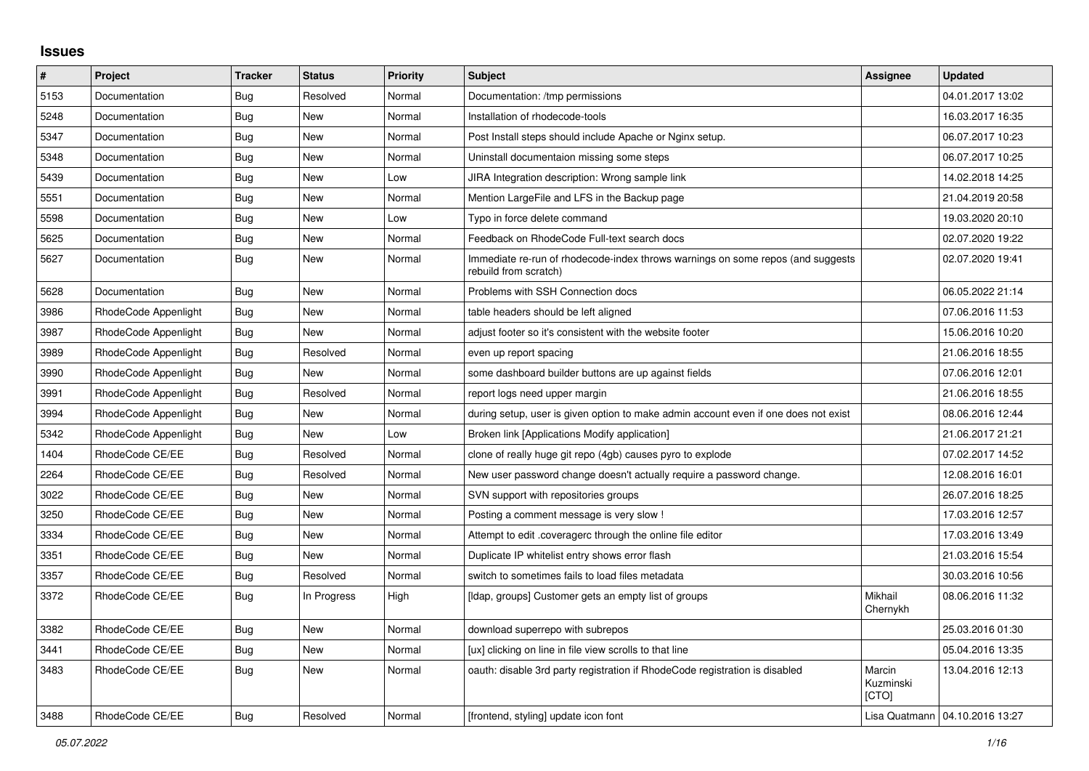## **Issues**

| #    | Project              | <b>Tracker</b> | <b>Status</b> | <b>Priority</b> | <b>Subject</b>                                                                                           | <b>Assignee</b>              | <b>Updated</b>                   |
|------|----------------------|----------------|---------------|-----------------|----------------------------------------------------------------------------------------------------------|------------------------------|----------------------------------|
| 5153 | Documentation        | Bug            | Resolved      | Normal          | Documentation: /tmp permissions                                                                          |                              | 04.01.2017 13:02                 |
| 5248 | Documentation        | Bug            | <b>New</b>    | Normal          | Installation of rhodecode-tools                                                                          |                              | 16.03.2017 16:35                 |
| 5347 | Documentation        | Bug            | <b>New</b>    | Normal          | Post Install steps should include Apache or Nginx setup.                                                 |                              | 06.07.2017 10:23                 |
| 5348 | Documentation        | Bug            | New           | Normal          | Uninstall documentaion missing some steps                                                                |                              | 06.07.2017 10:25                 |
| 5439 | Documentation        | Bug            | <b>New</b>    | Low             | JIRA Integration description: Wrong sample link                                                          |                              | 14.02.2018 14:25                 |
| 5551 | Documentation        | <b>Bug</b>     | <b>New</b>    | Normal          | Mention LargeFile and LFS in the Backup page                                                             |                              | 21.04.2019 20:58                 |
| 5598 | Documentation        | Bug            | New           | Low             | Typo in force delete command                                                                             |                              | 19.03.2020 20:10                 |
| 5625 | Documentation        | Bug            | <b>New</b>    | Normal          | Feedback on RhodeCode Full-text search docs                                                              |                              | 02.07.2020 19:22                 |
| 5627 | Documentation        | Bug            | <b>New</b>    | Normal          | Immediate re-run of rhodecode-index throws warnings on some repos (and suggests<br>rebuild from scratch) |                              | 02.07.2020 19:41                 |
| 5628 | Documentation        | Bug            | <b>New</b>    | Normal          | Problems with SSH Connection docs                                                                        |                              | 06.05.2022 21:14                 |
| 3986 | RhodeCode Appenlight | Bug            | New           | Normal          | table headers should be left aligned                                                                     |                              | 07.06.2016 11:53                 |
| 3987 | RhodeCode Appenlight | Bug            | <b>New</b>    | Normal          | adjust footer so it's consistent with the website footer                                                 |                              | 15.06.2016 10:20                 |
| 3989 | RhodeCode Appenlight | <b>Bug</b>     | Resolved      | Normal          | even up report spacing                                                                                   |                              | 21.06.2016 18:55                 |
| 3990 | RhodeCode Appenlight | Bug            | <b>New</b>    | Normal          | some dashboard builder buttons are up against fields                                                     |                              | 07.06.2016 12:01                 |
| 3991 | RhodeCode Appenlight | Bug            | Resolved      | Normal          | report logs need upper margin                                                                            |                              | 21.06.2016 18:55                 |
| 3994 | RhodeCode Appenlight | Bug            | <b>New</b>    | Normal          | during setup, user is given option to make admin account even if one does not exist                      |                              | 08.06.2016 12:44                 |
| 5342 | RhodeCode Appenlight | Bug            | <b>New</b>    | Low             | Broken link [Applications Modify application]                                                            |                              | 21.06.2017 21:21                 |
| 1404 | RhodeCode CE/EE      | Bug            | Resolved      | Normal          | clone of really huge git repo (4gb) causes pyro to explode                                               |                              | 07.02.2017 14:52                 |
| 2264 | RhodeCode CE/EE      | <b>Bug</b>     | Resolved      | Normal          | New user password change doesn't actually require a password change.                                     |                              | 12.08.2016 16:01                 |
| 3022 | RhodeCode CE/EE      | <b>Bug</b>     | New           | Normal          | SVN support with repositories groups                                                                     |                              | 26.07.2016 18:25                 |
| 3250 | RhodeCode CE/EE      | Bug            | <b>New</b>    | Normal          | Posting a comment message is very slow !                                                                 |                              | 17.03.2016 12:57                 |
| 3334 | RhodeCode CE/EE      | Bug            | <b>New</b>    | Normal          | Attempt to edit .coveragerc through the online file editor                                               |                              | 17.03.2016 13:49                 |
| 3351 | RhodeCode CE/EE      | Bug            | <b>New</b>    | Normal          | Duplicate IP whitelist entry shows error flash                                                           |                              | 21.03.2016 15:54                 |
| 3357 | RhodeCode CE/EE      | <b>Bug</b>     | Resolved      | Normal          | switch to sometimes fails to load files metadata                                                         |                              | 30.03.2016 10:56                 |
| 3372 | RhodeCode CE/EE      | Bug            | In Progress   | High            | [Idap, groups] Customer gets an empty list of groups                                                     | Mikhail<br>Chernykh          | 08.06.2016 11:32                 |
| 3382 | RhodeCode CE/EE      | Bug            | <b>New</b>    | Normal          | download superrepo with subrepos                                                                         |                              | 25.03.2016 01:30                 |
| 3441 | RhodeCode CE/EE      | Bug            | <b>New</b>    | Normal          | [ux] clicking on line in file view scrolls to that line                                                  |                              | 05.04.2016 13:35                 |
| 3483 | RhodeCode CE/EE      | <b>Bug</b>     | New           | Normal          | oauth: disable 3rd party registration if RhodeCode registration is disabled                              | Marcin<br>Kuzminski<br>[CTO] | 13.04.2016 12:13                 |
| 3488 | RhodeCode CE/EE      | Bug            | Resolved      | Normal          | [frontend, styling] update icon font                                                                     |                              | Lisa Quatmann   04.10.2016 13:27 |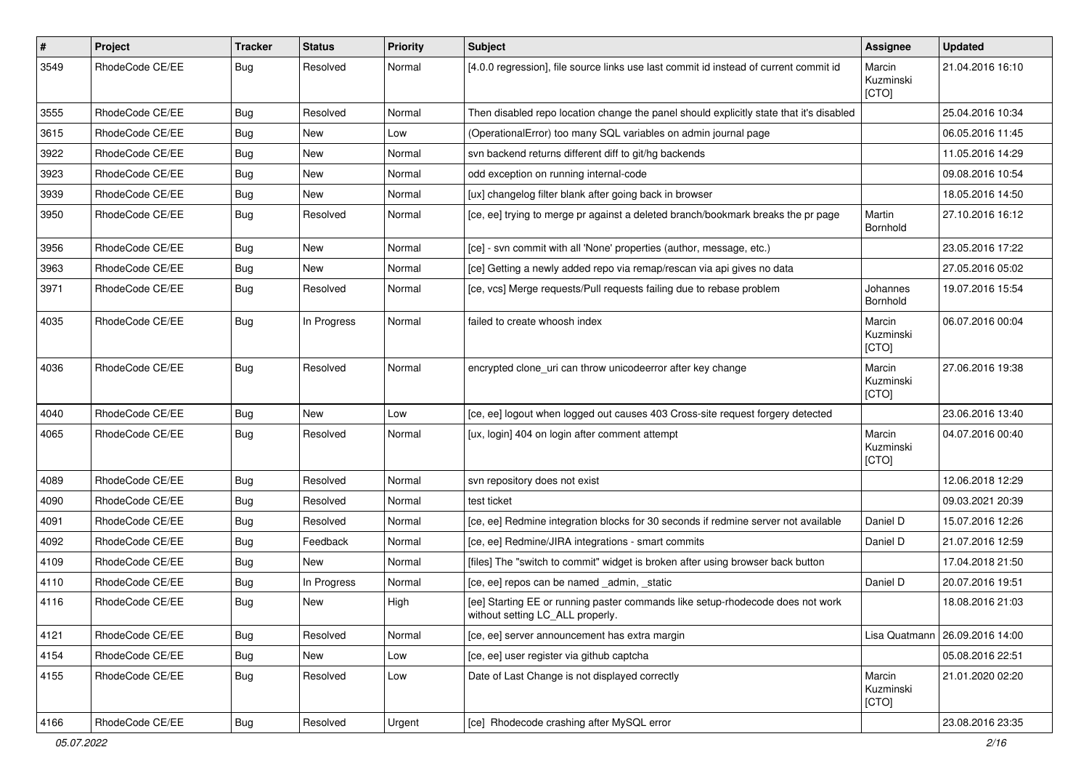| $\sharp$ | Project         | <b>Tracker</b> | <b>Status</b> | <b>Priority</b> | <b>Subject</b>                                                                                                     | Assignee                     | <b>Updated</b>   |
|----------|-----------------|----------------|---------------|-----------------|--------------------------------------------------------------------------------------------------------------------|------------------------------|------------------|
| 3549     | RhodeCode CE/EE | Bug            | Resolved      | Normal          | [4.0.0 regression], file source links use last commit id instead of current commit id                              | Marcin<br>Kuzminski<br>[CTO] | 21.04.2016 16:10 |
| 3555     | RhodeCode CE/EE | Bug            | Resolved      | Normal          | Then disabled repo location change the panel should explicitly state that it's disabled                            |                              | 25.04.2016 10:34 |
| 3615     | RhodeCode CE/EE | Bug            | <b>New</b>    | Low             | (OperationalError) too many SQL variables on admin journal page                                                    |                              | 06.05.2016 11:45 |
| 3922     | RhodeCode CE/EE | Bug            | New           | Normal          | svn backend returns different diff to git/hg backends                                                              |                              | 11.05.2016 14:29 |
| 3923     | RhodeCode CE/EE | Bug            | New           | Normal          | odd exception on running internal-code                                                                             |                              | 09.08.2016 10:54 |
| 3939     | RhodeCode CE/EE | Bug            | New           | Normal          | [ux] changelog filter blank after going back in browser                                                            |                              | 18.05.2016 14:50 |
| 3950     | RhodeCode CE/EE | Bug            | Resolved      | Normal          | [ce, ee] trying to merge pr against a deleted branch/bookmark breaks the pr page                                   | Martin<br>Bornhold           | 27.10.2016 16:12 |
| 3956     | RhodeCode CE/EE | Bug            | New           | Normal          | [ce] - svn commit with all 'None' properties (author, message, etc.)                                               |                              | 23.05.2016 17:22 |
| 3963     | RhodeCode CE/EE | Bug            | New           | Normal          | [ce] Getting a newly added repo via remap/rescan via api gives no data                                             |                              | 27.05.2016 05:02 |
| 3971     | RhodeCode CE/EE | Bug            | Resolved      | Normal          | [ce, vcs] Merge requests/Pull requests failing due to rebase problem                                               | Johannes<br>Bornhold         | 19.07.2016 15:54 |
| 4035     | RhodeCode CE/EE | Bug            | In Progress   | Normal          | failed to create whoosh index                                                                                      | Marcin<br>Kuzminski<br>[CTO] | 06.07.2016 00:04 |
| 4036     | RhodeCode CE/EE | Bug            | Resolved      | Normal          | encrypted clone uri can throw unicodeerror after key change                                                        | Marcin<br>Kuzminski<br>[CTO] | 27.06.2016 19:38 |
| 4040     | RhodeCode CE/EE | Bug            | <b>New</b>    | Low             | [ce, ee] logout when logged out causes 403 Cross-site request forgery detected                                     |                              | 23.06.2016 13:40 |
| 4065     | RhodeCode CE/EE | Bug            | Resolved      | Normal          | [ux, login] 404 on login after comment attempt                                                                     | Marcin<br>Kuzminski<br>[CTO] | 04.07.2016 00:40 |
| 4089     | RhodeCode CE/EE | Bug            | Resolved      | Normal          | svn repository does not exist                                                                                      |                              | 12.06.2018 12:29 |
| 4090     | RhodeCode CE/EE | Bug            | Resolved      | Normal          | test ticket                                                                                                        |                              | 09.03.2021 20:39 |
| 4091     | RhodeCode CE/EE | Bug            | Resolved      | Normal          | [ce, ee] Redmine integration blocks for 30 seconds if redmine server not available                                 | Daniel D                     | 15.07.2016 12:26 |
| 4092     | RhodeCode CE/EE | <b>Bug</b>     | Feedback      | Normal          | [ce, ee] Redmine/JIRA integrations - smart commits                                                                 | Daniel D                     | 21.07.2016 12:59 |
| 4109     | RhodeCode CE/EE | Bug            | New           | Normal          | [files] The "switch to commit" widget is broken after using browser back button                                    |                              | 17.04.2018 21:50 |
| 4110     | RhodeCode CE/EE | Bug            | In Progress   | Normal          | [ce, ee] repos can be named _admin, _static                                                                        | Daniel D                     | 20.07.2016 19:51 |
| 4116     | RhodeCode CE/EE | Bug            | New           | High            | [ee] Starting EE or running paster commands like setup-rhodecode does not work<br>without setting LC_ALL properly. |                              | 18.08.2016 21:03 |
| 4121     | RhodeCode CE/EE | <b>Bug</b>     | Resolved      | Normal          | [ce, ee] server announcement has extra margin                                                                      | Lisa Quatmann                | 26.09.2016 14:00 |
| 4154     | RhodeCode CE/EE | Bug            | New           | Low             | [ce, ee] user register via github captcha                                                                          |                              | 05.08.2016 22:51 |
| 4155     | RhodeCode CE/EE | Bug            | Resolved      | Low             | Date of Last Change is not displayed correctly                                                                     | Marcin<br>Kuzminski<br>[CTO] | 21.01.2020 02:20 |
| 4166     | RhodeCode CE/EE | Bug            | Resolved      | Urgent          | [ce] Rhodecode crashing after MySQL error                                                                          |                              | 23.08.2016 23:35 |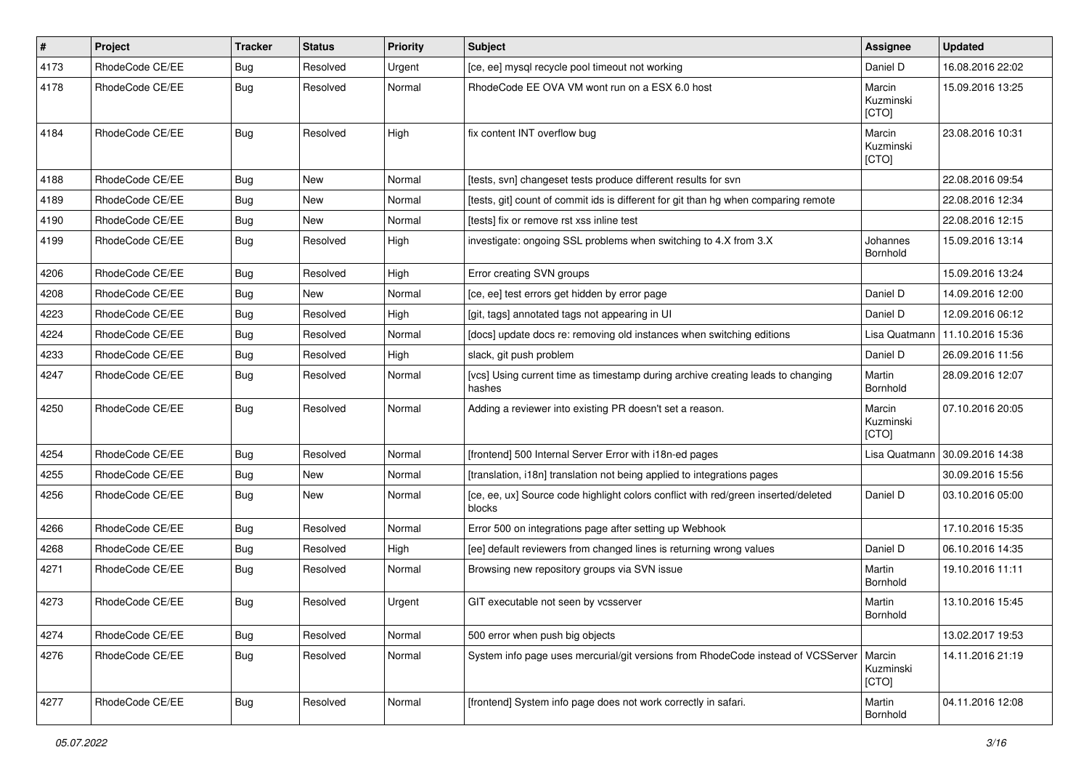| #    | Project         | <b>Tracker</b> | <b>Status</b> | <b>Priority</b> | <b>Subject</b>                                                                               | Assignee                     | <b>Updated</b>   |
|------|-----------------|----------------|---------------|-----------------|----------------------------------------------------------------------------------------------|------------------------------|------------------|
| 4173 | RhodeCode CE/EE | Bug            | Resolved      | Urgent          | [ce, ee] mysql recycle pool timeout not working                                              | Daniel D                     | 16.08.2016 22:02 |
| 4178 | RhodeCode CE/EE | Bug            | Resolved      | Normal          | RhodeCode EE OVA VM wont run on a ESX 6.0 host                                               | Marcin<br>Kuzminski<br>[CTO] | 15.09.2016 13:25 |
| 4184 | RhodeCode CE/EE | Bug            | Resolved      | High            | fix content INT overflow bug                                                                 | Marcin<br>Kuzminski<br>[CTO] | 23.08.2016 10:31 |
| 4188 | RhodeCode CE/EE | Bug            | <b>New</b>    | Normal          | [tests, svn] changeset tests produce different results for svn                               |                              | 22.08.2016 09:54 |
| 4189 | RhodeCode CE/EE | <b>Bug</b>     | New           | Normal          | Itests, git] count of commit ids is different for git than hg when comparing remote          |                              | 22.08.2016 12:34 |
| 4190 | RhodeCode CE/EE | Bug            | New           | Normal          | [tests] fix or remove rst xss inline test                                                    |                              | 22.08.2016 12:15 |
| 4199 | RhodeCode CE/EE | Bug            | Resolved      | High            | investigate: ongoing SSL problems when switching to 4.X from 3.X                             | Johannes<br>Bornhold         | 15.09.2016 13:14 |
| 4206 | RhodeCode CE/EE | Bug            | Resolved      | High            | Error creating SVN groups                                                                    |                              | 15.09.2016 13:24 |
| 4208 | RhodeCode CE/EE | Bug            | New           | Normal          | [ce, ee] test errors get hidden by error page                                                | Daniel D                     | 14.09.2016 12:00 |
| 4223 | RhodeCode CE/EE | Bug            | Resolved      | High            | [git, tags] annotated tags not appearing in UI                                               | Daniel D                     | 12.09.2016 06:12 |
| 4224 | RhodeCode CE/EE | Bug            | Resolved      | Normal          | [docs] update docs re: removing old instances when switching editions                        | Lisa Quatmann                | 11.10.2016 15:36 |
| 4233 | RhodeCode CE/EE | Bug            | Resolved      | High            | slack, git push problem                                                                      | Daniel D                     | 26.09.2016 11:56 |
| 4247 | RhodeCode CE/EE | Bug            | Resolved      | Normal          | [vcs] Using current time as timestamp during archive creating leads to changing<br>hashes    | Martin<br>Bornhold           | 28.09.2016 12:07 |
| 4250 | RhodeCode CE/EE | Bug            | Resolved      | Normal          | Adding a reviewer into existing PR doesn't set a reason.                                     | Marcin<br>Kuzminski<br>[CTO] | 07.10.2016 20:05 |
| 4254 | RhodeCode CE/EE | Bug            | Resolved      | Normal          | [frontend] 500 Internal Server Error with i18n-ed pages                                      | Lisa Quatmann                | 30.09.2016 14:38 |
| 4255 | RhodeCode CE/EE | Bug            | <b>New</b>    | Normal          | [translation, i18n] translation not being applied to integrations pages                      |                              | 30.09.2016 15:56 |
| 4256 | RhodeCode CE/EE | Bug            | New           | Normal          | [ce, ee, ux] Source code highlight colors conflict with red/green inserted/deleted<br>blocks | Daniel D                     | 03.10.2016 05:00 |
| 4266 | RhodeCode CE/EE | Bug            | Resolved      | Normal          | Error 500 on integrations page after setting up Webhook                                      |                              | 17.10.2016 15:35 |
| 4268 | RhodeCode CE/EE | Bug            | Resolved      | High            | [ee] default reviewers from changed lines is returning wrong values                          | Daniel D                     | 06.10.2016 14:35 |
| 4271 | RhodeCode CE/EE | Bug            | Resolved      | Normal          | Browsing new repository groups via SVN issue                                                 | Martin<br>Bornhold           | 19.10.2016 11:11 |
| 4273 | RhodeCode CE/EE | Bug            | Resolved      | Urgent          | GIT executable not seen by vcsserver                                                         | Martin<br>Bornhold           | 13.10.2016 15:45 |
| 4274 | RhodeCode CE/EE | <b>Bug</b>     | Resolved      | Normal          | 500 error when push big objects                                                              |                              | 13.02.2017 19:53 |
| 4276 | RhodeCode CE/EE | Bug            | Resolved      | Normal          | System info page uses mercurial/git versions from RhodeCode instead of VCSServer             | Marcin<br>Kuzminski<br>[CTO] | 14.11.2016 21:19 |
| 4277 | RhodeCode CE/EE | Bug            | Resolved      | Normal          | [frontend] System info page does not work correctly in safari.                               | Martin<br>Bornhold           | 04.11.2016 12:08 |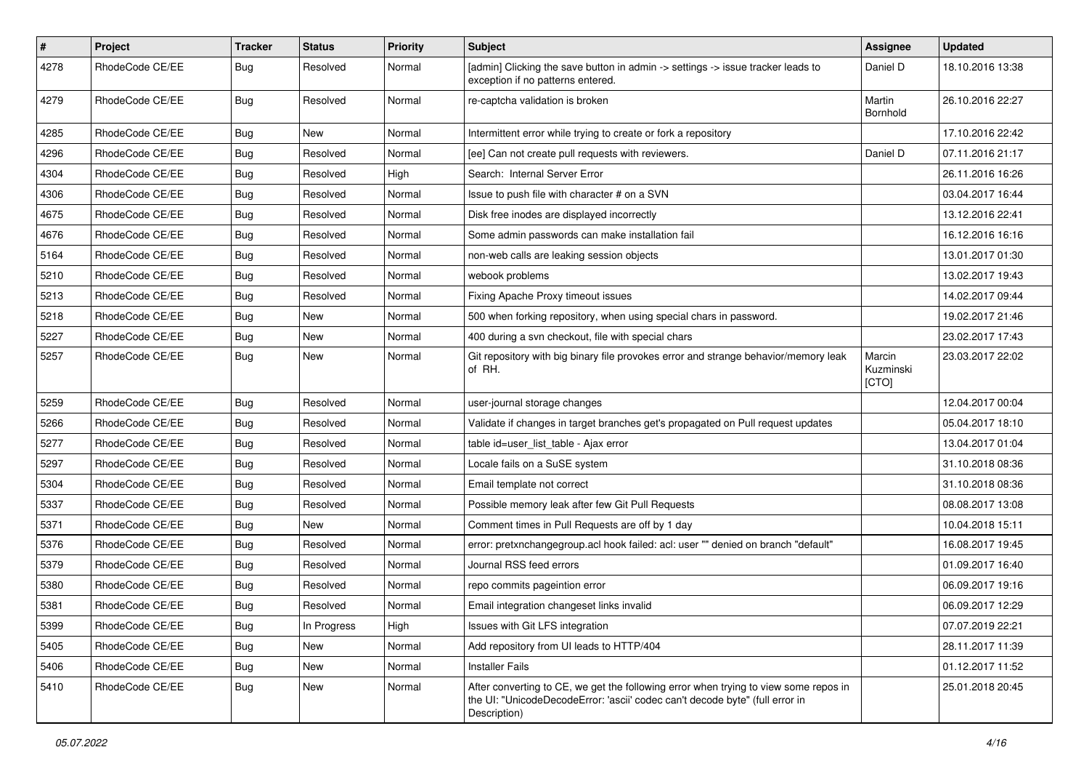| #    | Project         | <b>Tracker</b> | <b>Status</b> | <b>Priority</b> | <b>Subject</b>                                                                                                                                                                       | Assignee                     | <b>Updated</b>   |
|------|-----------------|----------------|---------------|-----------------|--------------------------------------------------------------------------------------------------------------------------------------------------------------------------------------|------------------------------|------------------|
| 4278 | RhodeCode CE/EE | Bug            | Resolved      | Normal          | [admin] Clicking the save button in admin -> settings -> issue tracker leads to<br>exception if no patterns entered.                                                                 | Daniel D                     | 18.10.2016 13:38 |
| 4279 | RhodeCode CE/EE | Bug            | Resolved      | Normal          | re-captcha validation is broken                                                                                                                                                      | Martin<br>Bornhold           | 26.10.2016 22:27 |
| 4285 | RhodeCode CE/EE | Bug            | <b>New</b>    | Normal          | Intermittent error while trying to create or fork a repository                                                                                                                       |                              | 17.10.2016 22:42 |
| 4296 | RhodeCode CE/EE | Bug            | Resolved      | Normal          | [ee] Can not create pull requests with reviewers.                                                                                                                                    | Daniel D                     | 07.11.2016 21:17 |
| 4304 | RhodeCode CE/EE | Bug            | Resolved      | High            | Search: Internal Server Error                                                                                                                                                        |                              | 26.11.2016 16:26 |
| 4306 | RhodeCode CE/EE | Bug            | Resolved      | Normal          | Issue to push file with character # on a SVN                                                                                                                                         |                              | 03.04.2017 16:44 |
| 4675 | RhodeCode CE/EE | Bug            | Resolved      | Normal          | Disk free inodes are displayed incorrectly                                                                                                                                           |                              | 13.12.2016 22:41 |
| 4676 | RhodeCode CE/EE | Bug            | Resolved      | Normal          | Some admin passwords can make installation fail                                                                                                                                      |                              | 16.12.2016 16:16 |
| 5164 | RhodeCode CE/EE | Bug            | Resolved      | Normal          | non-web calls are leaking session objects                                                                                                                                            |                              | 13.01.2017 01:30 |
| 5210 | RhodeCode CE/EE | Bug            | Resolved      | Normal          | webook problems                                                                                                                                                                      |                              | 13.02.2017 19:43 |
| 5213 | RhodeCode CE/EE | Bug            | Resolved      | Normal          | Fixing Apache Proxy timeout issues                                                                                                                                                   |                              | 14.02.2017 09:44 |
| 5218 | RhodeCode CE/EE | Bug            | New           | Normal          | 500 when forking repository, when using special chars in password.                                                                                                                   |                              | 19.02.2017 21:46 |
| 5227 | RhodeCode CE/EE | Bug            | <b>New</b>    | Normal          | 400 during a svn checkout, file with special chars                                                                                                                                   |                              | 23.02.2017 17:43 |
| 5257 | RhodeCode CE/EE | Bug            | New           | Normal          | Git repository with big binary file provokes error and strange behavior/memory leak<br>of RH.                                                                                        | Marcin<br>Kuzminski<br>[CTO] | 23.03.2017 22:02 |
| 5259 | RhodeCode CE/EE | Bug            | Resolved      | Normal          | user-journal storage changes                                                                                                                                                         |                              | 12.04.2017 00:04 |
| 5266 | RhodeCode CE/EE | Bug            | Resolved      | Normal          | Validate if changes in target branches get's propagated on Pull request updates                                                                                                      |                              | 05.04.2017 18:10 |
| 5277 | RhodeCode CE/EE | Bug            | Resolved      | Normal          | table id=user_list_table - Ajax error                                                                                                                                                |                              | 13.04.2017 01:04 |
| 5297 | RhodeCode CE/EE | Bug            | Resolved      | Normal          | Locale fails on a SuSE system                                                                                                                                                        |                              | 31.10.2018 08:36 |
| 5304 | RhodeCode CE/EE | Bug            | Resolved      | Normal          | Email template not correct                                                                                                                                                           |                              | 31.10.2018 08:36 |
| 5337 | RhodeCode CE/EE | Bug            | Resolved      | Normal          | Possible memory leak after few Git Pull Requests                                                                                                                                     |                              | 08.08.2017 13:08 |
| 5371 | RhodeCode CE/EE | Bug            | New           | Normal          | Comment times in Pull Requests are off by 1 day                                                                                                                                      |                              | 10.04.2018 15:11 |
| 5376 | RhodeCode CE/EE | <b>Bug</b>     | Resolved      | Normal          | error: pretxnchangegroup.acl hook failed: acl: user "" denied on branch "default"                                                                                                    |                              | 16.08.2017 19:45 |
| 5379 | RhodeCode CE/EE | <b>Bug</b>     | Resolved      | Normal          | Journal RSS feed errors                                                                                                                                                              |                              | 01.09.2017 16:40 |
| 5380 | RhodeCode CE/EE | Bug            | Resolved      | Normal          | repo commits pageintion error                                                                                                                                                        |                              | 06.09.2017 19:16 |
| 5381 | RhodeCode CE/EE | Bug            | Resolved      | Normal          | Email integration changeset links invalid                                                                                                                                            |                              | 06.09.2017 12:29 |
| 5399 | RhodeCode CE/EE | <b>Bug</b>     | In Progress   | High            | Issues with Git LFS integration                                                                                                                                                      |                              | 07.07.2019 22:21 |
| 5405 | RhodeCode CE/EE | Bug            | New           | Normal          | Add repository from UI leads to HTTP/404                                                                                                                                             |                              | 28.11.2017 11:39 |
| 5406 | RhodeCode CE/EE | <b>Bug</b>     | New           | Normal          | <b>Installer Fails</b>                                                                                                                                                               |                              | 01.12.2017 11:52 |
| 5410 | RhodeCode CE/EE | Bug            | New           | Normal          | After converting to CE, we get the following error when trying to view some repos in<br>the UI: "UnicodeDecodeError: 'ascii' codec can't decode byte" (full error in<br>Description) |                              | 25.01.2018 20:45 |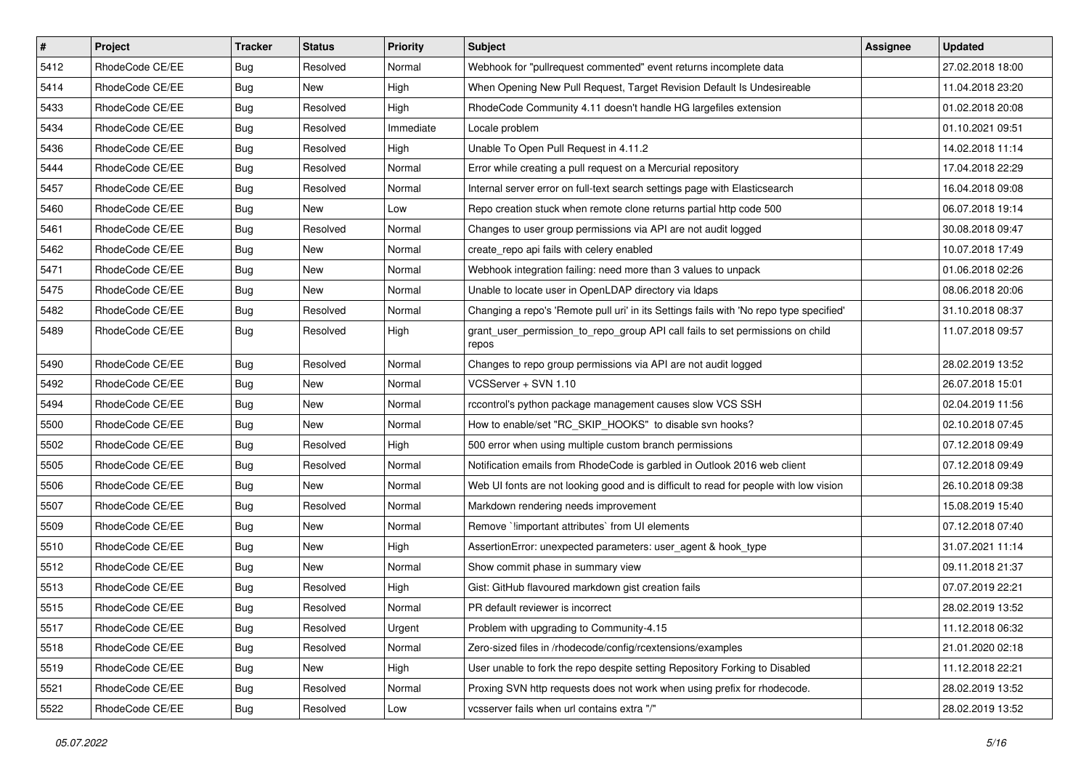| $\sharp$ | Project         | <b>Tracker</b> | <b>Status</b> | Priority  | <b>Subject</b>                                                                          | <b>Assignee</b> | <b>Updated</b>   |
|----------|-----------------|----------------|---------------|-----------|-----------------------------------------------------------------------------------------|-----------------|------------------|
| 5412     | RhodeCode CE/EE | Bug            | Resolved      | Normal    | Webhook for "pullrequest commented" event returns incomplete data                       |                 | 27.02.2018 18:00 |
| 5414     | RhodeCode CE/EE | Bug            | <b>New</b>    | High      | When Opening New Pull Request, Target Revision Default Is Undesireable                  |                 | 11.04.2018 23:20 |
| 5433     | RhodeCode CE/EE | Bug            | Resolved      | High      | RhodeCode Community 4.11 doesn't handle HG largefiles extension                         |                 | 01.02.2018 20:08 |
| 5434     | RhodeCode CE/EE | Bug            | Resolved      | Immediate | Locale problem                                                                          |                 | 01.10.2021 09:51 |
| 5436     | RhodeCode CE/EE | Bug            | Resolved      | High      | Unable To Open Pull Request in 4.11.2                                                   |                 | 14.02.2018 11:14 |
| 5444     | RhodeCode CE/EE | Bug            | Resolved      | Normal    | Error while creating a pull request on a Mercurial repository                           |                 | 17.04.2018 22:29 |
| 5457     | RhodeCode CE/EE | Bug            | Resolved      | Normal    | Internal server error on full-text search settings page with Elasticsearch              |                 | 16.04.2018 09:08 |
| 5460     | RhodeCode CE/EE | <b>Bug</b>     | New           | Low       | Repo creation stuck when remote clone returns partial http code 500                     |                 | 06.07.2018 19:14 |
| 5461     | RhodeCode CE/EE | Bug            | Resolved      | Normal    | Changes to user group permissions via API are not audit logged                          |                 | 30.08.2018 09:47 |
| 5462     | RhodeCode CE/EE | Bug            | <b>New</b>    | Normal    | create_repo api fails with celery enabled                                               |                 | 10.07.2018 17:49 |
| 5471     | RhodeCode CE/EE | Bug            | New           | Normal    | Webhook integration failing: need more than 3 values to unpack                          |                 | 01.06.2018 02:26 |
| 5475     | RhodeCode CE/EE | <b>Bug</b>     | New           | Normal    | Unable to locate user in OpenLDAP directory via Idaps                                   |                 | 08.06.2018 20:06 |
| 5482     | RhodeCode CE/EE | Bug            | Resolved      | Normal    | Changing a repo's 'Remote pull uri' in its Settings fails with 'No repo type specified' |                 | 31.10.2018 08:37 |
| 5489     | RhodeCode CE/EE | Bug            | Resolved      | High      | grant_user_permission_to_repo_group API call fails to set permissions on child<br>repos |                 | 11.07.2018 09:57 |
| 5490     | RhodeCode CE/EE | Bug            | Resolved      | Normal    | Changes to repo group permissions via API are not audit logged                          |                 | 28.02.2019 13:52 |
| 5492     | RhodeCode CE/EE | Bug            | <b>New</b>    | Normal    | VCSServer + SVN 1.10                                                                    |                 | 26.07.2018 15:01 |
| 5494     | RhodeCode CE/EE | Bug            | <b>New</b>    | Normal    | rccontrol's python package management causes slow VCS SSH                               |                 | 02.04.2019 11:56 |
| 5500     | RhodeCode CE/EE | Bug            | New           | Normal    | How to enable/set "RC_SKIP_HOOKS" to disable svn hooks?                                 |                 | 02.10.2018 07:45 |
| 5502     | RhodeCode CE/EE | Bug            | Resolved      | High      | 500 error when using multiple custom branch permissions                                 |                 | 07.12.2018 09:49 |
| 5505     | RhodeCode CE/EE | Bug            | Resolved      | Normal    | Notification emails from RhodeCode is garbled in Outlook 2016 web client                |                 | 07.12.2018 09:49 |
| 5506     | RhodeCode CE/EE | Bug            | New           | Normal    | Web UI fonts are not looking good and is difficult to read for people with low vision   |                 | 26.10.2018 09:38 |
| 5507     | RhodeCode CE/EE | Bug            | Resolved      | Normal    | Markdown rendering needs improvement                                                    |                 | 15.08.2019 15:40 |
| 5509     | RhodeCode CE/EE | Bug            | New           | Normal    | Remove `limportant attributes` from UI elements                                         |                 | 07.12.2018 07:40 |
| 5510     | RhodeCode CE/EE | <b>Bug</b>     | New           | High      | AssertionError: unexpected parameters: user_agent & hook_type                           |                 | 31.07.2021 11:14 |
| 5512     | RhodeCode CE/EE | Bug            | New           | Normal    | Show commit phase in summary view                                                       |                 | 09.11.2018 21:37 |
| 5513     | RhodeCode CE/EE | Bug            | Resolved      | High      | Gist: GitHub flavoured markdown gist creation fails                                     |                 | 07.07.2019 22:21 |
| 5515     | RhodeCode CE/EE | Bug            | Resolved      | Normal    | PR default reviewer is incorrect                                                        |                 | 28.02.2019 13:52 |
| 5517     | RhodeCode CE/EE | Bug            | Resolved      | Urgent    | Problem with upgrading to Community-4.15                                                |                 | 11.12.2018 06:32 |
| 5518     | RhodeCode CE/EE | <b>Bug</b>     | Resolved      | Normal    | Zero-sized files in /rhodecode/config/rcextensions/examples                             |                 | 21.01.2020 02:18 |
| 5519     | RhodeCode CE/EE | <b>Bug</b>     | New           | High      | User unable to fork the repo despite setting Repository Forking to Disabled             |                 | 11.12.2018 22:21 |
| 5521     | RhodeCode CE/EE | <b>Bug</b>     | Resolved      | Normal    | Proxing SVN http requests does not work when using prefix for rhodecode.                |                 | 28.02.2019 13:52 |
| 5522     | RhodeCode CE/EE | Bug            | Resolved      | Low       | vcsserver fails when url contains extra "/"                                             |                 | 28.02.2019 13:52 |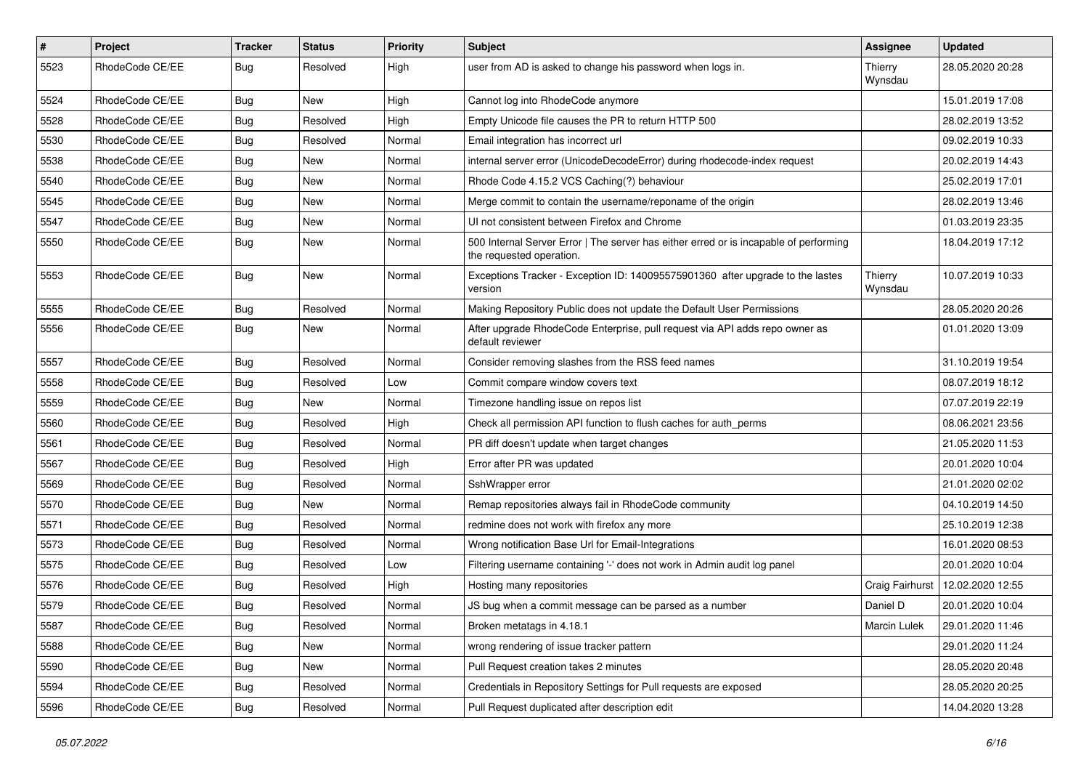| #    | Project         | <b>Tracker</b> | <b>Status</b> | <b>Priority</b> | <b>Subject</b>                                                                                                    | <b>Assignee</b>    | <b>Updated</b>   |
|------|-----------------|----------------|---------------|-----------------|-------------------------------------------------------------------------------------------------------------------|--------------------|------------------|
| 5523 | RhodeCode CE/EE | Bug            | Resolved      | High            | user from AD is asked to change his password when logs in.                                                        | Thierry<br>Wynsdau | 28.05.2020 20:28 |
| 5524 | RhodeCode CE/EE | Bug            | New           | High            | Cannot log into RhodeCode anymore                                                                                 |                    | 15.01.2019 17:08 |
| 5528 | RhodeCode CE/EE | Bug            | Resolved      | High            | Empty Unicode file causes the PR to return HTTP 500                                                               |                    | 28.02.2019 13:52 |
| 5530 | RhodeCode CE/EE | Bug            | Resolved      | Normal          | Email integration has incorrect url                                                                               |                    | 09.02.2019 10:33 |
| 5538 | RhodeCode CE/EE | Bug            | New           | Normal          | internal server error (UnicodeDecodeError) during rhodecode-index request                                         |                    | 20.02.2019 14:43 |
| 5540 | RhodeCode CE/EE | Bug            | New           | Normal          | Rhode Code 4.15.2 VCS Caching(?) behaviour                                                                        |                    | 25.02.2019 17:01 |
| 5545 | RhodeCode CE/EE | Bug            | New           | Normal          | Merge commit to contain the username/reponame of the origin                                                       |                    | 28.02.2019 13:46 |
| 5547 | RhodeCode CE/EE | Bug            | New           | Normal          | UI not consistent between Firefox and Chrome                                                                      |                    | 01.03.2019 23:35 |
| 5550 | RhodeCode CE/EE | Bug            | <b>New</b>    | Normal          | 500 Internal Server Error   The server has either erred or is incapable of performing<br>the requested operation. |                    | 18.04.2019 17:12 |
| 5553 | RhodeCode CE/EE | Bug            | New           | Normal          | Exceptions Tracker - Exception ID: 140095575901360 after upgrade to the lastes<br>version                         | Thierry<br>Wynsdau | 10.07.2019 10:33 |
| 5555 | RhodeCode CE/EE | Bug            | Resolved      | Normal          | Making Repository Public does not update the Default User Permissions                                             |                    | 28.05.2020 20:26 |
| 5556 | RhodeCode CE/EE | Bug            | New           | Normal          | After upgrade RhodeCode Enterprise, pull request via API adds repo owner as<br>default reviewer                   |                    | 01.01.2020 13:09 |
| 5557 | RhodeCode CE/EE | Bug            | Resolved      | Normal          | Consider removing slashes from the RSS feed names                                                                 |                    | 31.10.2019 19:54 |
| 5558 | RhodeCode CE/EE | Bug            | Resolved      | Low             | Commit compare window covers text                                                                                 |                    | 08.07.2019 18:12 |
| 5559 | RhodeCode CE/EE | Bug            | New           | Normal          | Timezone handling issue on repos list                                                                             |                    | 07.07.2019 22:19 |
| 5560 | RhodeCode CE/EE | Bug            | Resolved      | High            | Check all permission API function to flush caches for auth perms                                                  |                    | 08.06.2021 23:56 |
| 5561 | RhodeCode CE/EE | Bug            | Resolved      | Normal          | PR diff doesn't update when target changes                                                                        |                    | 21.05.2020 11:53 |
| 5567 | RhodeCode CE/EE | <b>Bug</b>     | Resolved      | High            | Error after PR was updated                                                                                        |                    | 20.01.2020 10:04 |
| 5569 | RhodeCode CE/EE | Bug            | Resolved      | Normal          | SshWrapper error                                                                                                  |                    | 21.01.2020 02:02 |
| 5570 | RhodeCode CE/EE | Bug            | New           | Normal          | Remap repositories always fail in RhodeCode community                                                             |                    | 04.10.2019 14:50 |
| 5571 | RhodeCode CE/EE | Bug            | Resolved      | Normal          | redmine does not work with firefox any more                                                                       |                    | 25.10.2019 12:38 |
| 5573 | RhodeCode CE/EE | Bug            | Resolved      | Normal          | Wrong notification Base Url for Email-Integrations                                                                |                    | 16.01.2020 08:53 |
| 5575 | RhodeCode CE/EE | Bug            | Resolved      | Low             | Filtering username containing '-' does not work in Admin audit log panel                                          |                    | 20.01.2020 10:04 |
| 5576 | RhodeCode CE/EE | Bug            | Resolved      | High            | Hosting many repositories                                                                                         | Craig Fairhurst    | 12.02.2020 12:55 |
| 5579 | RhodeCode CE/EE | Bug            | Resolved      | Normal          | JS bug when a commit message can be parsed as a number                                                            | Daniel D           | 20.01.2020 10:04 |
| 5587 | RhodeCode CE/EE | <b>Bug</b>     | Resolved      | Normal          | Broken metatags in 4.18.1                                                                                         | Marcin Lulek       | 29.01.2020 11:46 |
| 5588 | RhodeCode CE/EE | Bug            | New           | Normal          | wrong rendering of issue tracker pattern                                                                          |                    | 29.01.2020 11:24 |
| 5590 | RhodeCode CE/EE | <b>Bug</b>     | New           | Normal          | Pull Request creation takes 2 minutes                                                                             |                    | 28.05.2020 20:48 |
| 5594 | RhodeCode CE/EE | Bug            | Resolved      | Normal          | Credentials in Repository Settings for Pull requests are exposed                                                  |                    | 28.05.2020 20:25 |
| 5596 | RhodeCode CE/EE | <b>Bug</b>     | Resolved      | Normal          | Pull Request duplicated after description edit                                                                    |                    | 14.04.2020 13:28 |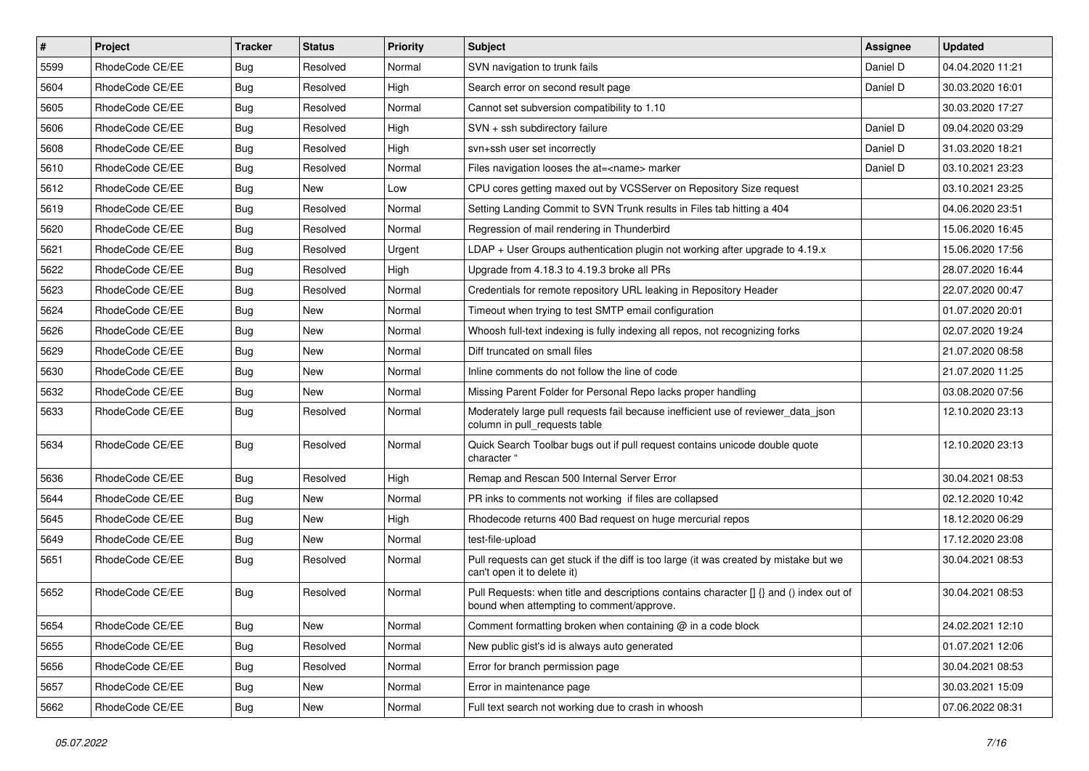| $\vert$ # | Project         | <b>Tracker</b> | <b>Status</b> | <b>Priority</b> | <b>Subject</b>                                                                                                                       | <b>Assignee</b> | <b>Updated</b>   |
|-----------|-----------------|----------------|---------------|-----------------|--------------------------------------------------------------------------------------------------------------------------------------|-----------------|------------------|
| 5599      | RhodeCode CE/EE | <b>Bug</b>     | Resolved      | Normal          | SVN navigation to trunk fails                                                                                                        | Daniel D        | 04.04.2020 11:21 |
| 5604      | RhodeCode CE/EE | Bug            | Resolved      | High            | Search error on second result page                                                                                                   | Daniel D        | 30.03.2020 16:01 |
| 5605      | RhodeCode CE/EE | <b>Bug</b>     | Resolved      | Normal          | Cannot set subversion compatibility to 1.10                                                                                          |                 | 30.03.2020 17:27 |
| 5606      | RhodeCode CE/EE | <b>Bug</b>     | Resolved      | High            | SVN + ssh subdirectory failure                                                                                                       | Daniel D        | 09.04.2020 03:29 |
| 5608      | RhodeCode CE/EE | Bug            | Resolved      | High            | svn+ssh user set incorrectly                                                                                                         | Daniel D        | 31.03.2020 18:21 |
| 5610      | RhodeCode CE/EE | Bug            | Resolved      | Normal          | Files navigation looses the at= <name> marker</name>                                                                                 | Daniel D        | 03.10.2021 23:23 |
| 5612      | RhodeCode CE/EE | Bug            | New           | Low             | CPU cores getting maxed out by VCSServer on Repository Size request                                                                  |                 | 03.10.2021 23:25 |
| 5619      | RhodeCode CE/EE | Bug            | Resolved      | Normal          | Setting Landing Commit to SVN Trunk results in Files tab hitting a 404                                                               |                 | 04.06.2020 23:51 |
| 5620      | RhodeCode CE/EE | <b>Bug</b>     | Resolved      | Normal          | Regression of mail rendering in Thunderbird                                                                                          |                 | 15.06.2020 16:45 |
| 5621      | RhodeCode CE/EE | Bug            | Resolved      | Urgent          | LDAP + User Groups authentication plugin not working after upgrade to $4.19.x$                                                       |                 | 15.06.2020 17:56 |
| 5622      | RhodeCode CE/EE | Bug            | Resolved      | High            | Upgrade from 4.18.3 to 4.19.3 broke all PRs                                                                                          |                 | 28.07.2020 16:44 |
| 5623      | RhodeCode CE/EE | Bug            | Resolved      | Normal          | Credentials for remote repository URL leaking in Repository Header                                                                   |                 | 22.07.2020 00:47 |
| 5624      | RhodeCode CE/EE | <b>Bug</b>     | New           | Normal          | Timeout when trying to test SMTP email configuration                                                                                 |                 | 01.07.2020 20:01 |
| 5626      | RhodeCode CE/EE | Bug            | New           | Normal          | Whoosh full-text indexing is fully indexing all repos, not recognizing forks                                                         |                 | 02.07.2020 19:24 |
| 5629      | RhodeCode CE/EE | <b>Bug</b>     | New           | Normal          | Diff truncated on small files                                                                                                        |                 | 21.07.2020 08:58 |
| 5630      | RhodeCode CE/EE | <b>Bug</b>     | New           | Normal          | Inline comments do not follow the line of code                                                                                       |                 | 21.07.2020 11:25 |
| 5632      | RhodeCode CE/EE | <b>Bug</b>     | New           | Normal          | Missing Parent Folder for Personal Repo lacks proper handling                                                                        |                 | 03.08.2020 07:56 |
| 5633      | RhodeCode CE/EE | Bug            | Resolved      | Normal          | Moderately large pull requests fail because inefficient use of reviewer_data_json<br>column in pull requests table                   |                 | 12.10.2020 23:13 |
| 5634      | RhodeCode CE/EE | Bug            | Resolved      | Normal          | Quick Search Toolbar bugs out if pull request contains unicode double quote<br>character "                                           |                 | 12.10.2020 23:13 |
| 5636      | RhodeCode CE/EE | Bug            | Resolved      | High            | Remap and Rescan 500 Internal Server Error                                                                                           |                 | 30.04.2021 08:53 |
| 5644      | RhodeCode CE/EE | <b>Bug</b>     | New           | Normal          | PR inks to comments not working if files are collapsed                                                                               |                 | 02.12.2020 10:42 |
| 5645      | RhodeCode CE/EE | Bug            | New           | High            | Rhodecode returns 400 Bad request on huge mercurial repos                                                                            |                 | 18.12.2020 06:29 |
| 5649      | RhodeCode CE/EE | Bug            | New           | Normal          | test-file-upload                                                                                                                     |                 | 17.12.2020 23:08 |
| 5651      | RhodeCode CE/EE | Bug            | Resolved      | Normal          | Pull requests can get stuck if the diff is too large (it was created by mistake but we<br>can't open it to delete it)                |                 | 30.04.2021 08:53 |
| 5652      | RhodeCode CE/EE | <b>Bug</b>     | Resolved      | Normal          | Pull Requests: when title and descriptions contains character [] {} and () index out of<br>bound when attempting to comment/approve. |                 | 30.04.2021 08:53 |
| 5654      | RhodeCode CE/EE | Bug            | New           | Normal          | Comment formatting broken when containing @ in a code block                                                                          |                 | 24.02.2021 12:10 |
| 5655      | RhodeCode CE/EE | Bug            | Resolved      | Normal          | New public gist's id is always auto generated                                                                                        |                 | 01.07.2021 12:06 |
| 5656      | RhodeCode CE/EE | <b>Bug</b>     | Resolved      | Normal          | Error for branch permission page                                                                                                     |                 | 30.04.2021 08:53 |
| 5657      | RhodeCode CE/EE | <b>Bug</b>     | New           | Normal          | Error in maintenance page                                                                                                            |                 | 30.03.2021 15:09 |
| 5662      | RhodeCode CE/EE | Bug            | New           | Normal          | Full text search not working due to crash in whoosh                                                                                  |                 | 07.06.2022 08:31 |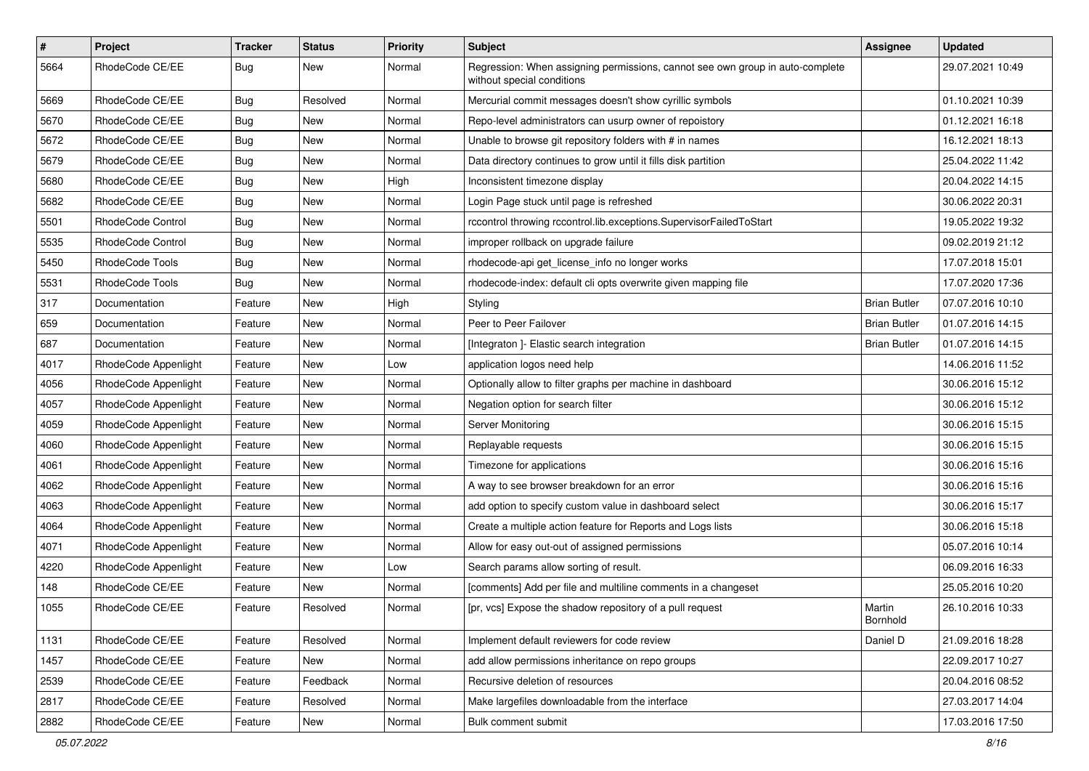| $\vert$ # | Project              | <b>Tracker</b> | <b>Status</b> | <b>Priority</b> | <b>Subject</b>                                                                                              | <b>Assignee</b>     | <b>Updated</b>   |
|-----------|----------------------|----------------|---------------|-----------------|-------------------------------------------------------------------------------------------------------------|---------------------|------------------|
| 5664      | RhodeCode CE/EE      | <b>Bug</b>     | New           | Normal          | Regression: When assigning permissions, cannot see own group in auto-complete<br>without special conditions |                     | 29.07.2021 10:49 |
| 5669      | RhodeCode CE/EE      | <b>Bug</b>     | Resolved      | Normal          | Mercurial commit messages doesn't show cyrillic symbols                                                     |                     | 01.10.2021 10:39 |
| 5670      | RhodeCode CE/EE      | <b>Bug</b>     | New           | Normal          | Repo-level administrators can usurp owner of repoistory                                                     |                     | 01.12.2021 16:18 |
| 5672      | RhodeCode CE/EE      | <b>Bug</b>     | New           | Normal          | Unable to browse git repository folders with # in names                                                     |                     | 16.12.2021 18:13 |
| 5679      | RhodeCode CE/EE      | <b>Bug</b>     | New           | Normal          | Data directory continues to grow until it fills disk partition                                              |                     | 25.04.2022 11:42 |
| 5680      | RhodeCode CE/EE      | <b>Bug</b>     | New           | High            | Inconsistent timezone display                                                                               |                     | 20.04.2022 14:15 |
| 5682      | RhodeCode CE/EE      | Bug            | New           | Normal          | Login Page stuck until page is refreshed                                                                    |                     | 30.06.2022 20:31 |
| 5501      | RhodeCode Control    | <b>Bug</b>     | New           | Normal          | rccontrol throwing rccontrol.lib.exceptions.SupervisorFailedToStart                                         |                     | 19.05.2022 19:32 |
| 5535      | RhodeCode Control    | <b>Bug</b>     | New           | Normal          | improper rollback on upgrade failure                                                                        |                     | 09.02.2019 21:12 |
| 5450      | RhodeCode Tools      | Bug            | New           | Normal          | rhodecode-api get_license_info no longer works                                                              |                     | 17.07.2018 15:01 |
| 5531      | RhodeCode Tools      | <b>Bug</b>     | New           | Normal          | rhodecode-index: default cli opts overwrite given mapping file                                              |                     | 17.07.2020 17:36 |
| 317       | Documentation        | Feature        | New           | High            | Styling                                                                                                     | <b>Brian Butler</b> | 07.07.2016 10:10 |
| 659       | Documentation        | Feature        | New           | Normal          | Peer to Peer Failover                                                                                       | <b>Brian Butler</b> | 01.07.2016 14:15 |
| 687       | Documentation        | Feature        | New           | Normal          | [Integraton] - Elastic search integration                                                                   | <b>Brian Butler</b> | 01.07.2016 14:15 |
| 4017      | RhodeCode Appenlight | Feature        | New           | Low             | application logos need help                                                                                 |                     | 14.06.2016 11:52 |
| 4056      | RhodeCode Appenlight | Feature        | New           | Normal          | Optionally allow to filter graphs per machine in dashboard                                                  |                     | 30.06.2016 15:12 |
| 4057      | RhodeCode Appenlight | Feature        | New           | Normal          | Negation option for search filter                                                                           |                     | 30.06.2016 15:12 |
| 4059      | RhodeCode Appenlight | Feature        | New           | Normal          | Server Monitoring                                                                                           |                     | 30.06.2016 15:15 |
| 4060      | RhodeCode Appenlight | Feature        | New           | Normal          | Replayable requests                                                                                         |                     | 30.06.2016 15:15 |
| 4061      | RhodeCode Appenlight | Feature        | New           | Normal          | Timezone for applications                                                                                   |                     | 30.06.2016 15:16 |
| 4062      | RhodeCode Appenlight | Feature        | New           | Normal          | A way to see browser breakdown for an error                                                                 |                     | 30.06.2016 15:16 |
| 4063      | RhodeCode Appenlight | Feature        | New           | Normal          | add option to specify custom value in dashboard select                                                      |                     | 30.06.2016 15:17 |
| 4064      | RhodeCode Appenlight | Feature        | New           | Normal          | Create a multiple action feature for Reports and Logs lists                                                 |                     | 30.06.2016 15:18 |
| 4071      | RhodeCode Appenlight | Feature        | New           | Normal          | Allow for easy out-out of assigned permissions                                                              |                     | 05.07.2016 10:14 |
| 4220      | RhodeCode Appenlight | Feature        | New           | Low             | Search params allow sorting of result.                                                                      |                     | 06.09.2016 16:33 |
| 148       | RhodeCode CE/EE      | Feature        | New           | Normal          | [comments] Add per file and multiline comments in a changeset                                               |                     | 25.05.2016 10:20 |
| 1055      | RhodeCode CE/EE      | Feature        | Resolved      | Normal          | [pr, vcs] Expose the shadow repository of a pull request                                                    | Martin<br>Bornhold  | 26.10.2016 10:33 |
| 1131      | RhodeCode CE/EE      | Feature        | Resolved      | Normal          | Implement default reviewers for code review                                                                 | Daniel D            | 21.09.2016 18:28 |
| 1457      | RhodeCode CE/EE      | Feature        | New           | Normal          | add allow permissions inheritance on repo groups                                                            |                     | 22.09.2017 10:27 |
| 2539      | RhodeCode CE/EE      | Feature        | Feedback      | Normal          | Recursive deletion of resources                                                                             |                     | 20.04.2016 08:52 |
| 2817      | RhodeCode CE/EE      | Feature        | Resolved      | Normal          | Make largefiles downloadable from the interface                                                             |                     | 27.03.2017 14:04 |
| 2882      | RhodeCode CE/EE      | Feature        | New           | Normal          | Bulk comment submit                                                                                         |                     | 17.03.2016 17:50 |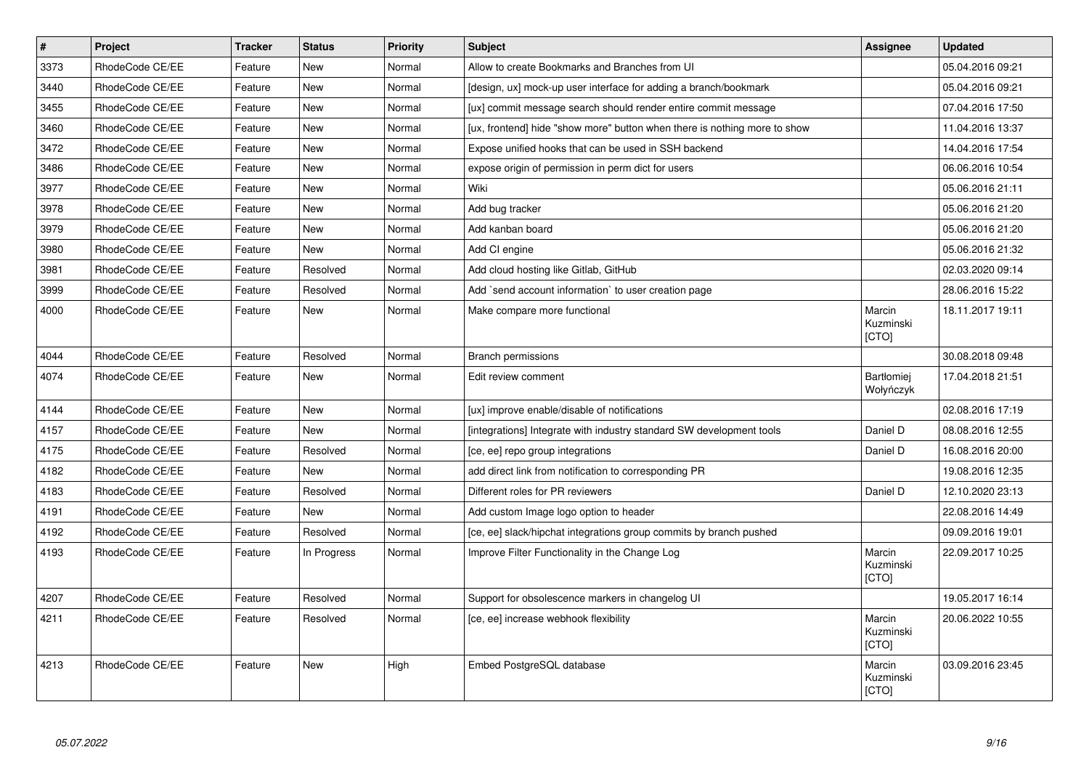| $\pmb{\#}$ | <b>Project</b>  | <b>Tracker</b> | <b>Status</b> | <b>Priority</b> | <b>Subject</b>                                                            | Assignee                            | <b>Updated</b>   |
|------------|-----------------|----------------|---------------|-----------------|---------------------------------------------------------------------------|-------------------------------------|------------------|
| 3373       | RhodeCode CE/EE | Feature        | <b>New</b>    | Normal          | Allow to create Bookmarks and Branches from UI                            |                                     | 05.04.2016 09:21 |
| 3440       | RhodeCode CE/EE | Feature        | New           | Normal          | [design, ux] mock-up user interface for adding a branch/bookmark          |                                     | 05.04.2016 09:21 |
| 3455       | RhodeCode CE/EE | Feature        | <b>New</b>    | Normal          | [ux] commit message search should render entire commit message            |                                     | 07.04.2016 17:50 |
| 3460       | RhodeCode CE/EE | Feature        | New           | Normal          | [ux, frontend] hide "show more" button when there is nothing more to show |                                     | 11.04.2016 13:37 |
| 3472       | RhodeCode CE/EE | Feature        | <b>New</b>    | Normal          | Expose unified hooks that can be used in SSH backend                      |                                     | 14.04.2016 17:54 |
| 3486       | RhodeCode CE/EE | Feature        | <b>New</b>    | Normal          | expose origin of permission in perm dict for users                        |                                     | 06.06.2016 10:54 |
| 3977       | RhodeCode CE/EE | Feature        | <b>New</b>    | Normal          | Wiki                                                                      |                                     | 05.06.2016 21:11 |
| 3978       | RhodeCode CE/EE | Feature        | New           | Normal          | Add bug tracker                                                           |                                     | 05.06.2016 21:20 |
| 3979       | RhodeCode CE/EE | Feature        | <b>New</b>    | Normal          | Add kanban board                                                          |                                     | 05.06.2016 21:20 |
| 3980       | RhodeCode CE/EE | Feature        | <b>New</b>    | Normal          | Add CI engine                                                             |                                     | 05.06.2016 21:32 |
| 3981       | RhodeCode CE/EE | Feature        | Resolved      | Normal          | Add cloud hosting like Gitlab, GitHub                                     |                                     | 02.03.2020 09:14 |
| 3999       | RhodeCode CE/EE | Feature        | Resolved      | Normal          | Add `send account information` to user creation page                      |                                     | 28.06.2016 15:22 |
| 4000       | RhodeCode CE/EE | Feature        | <b>New</b>    | Normal          | Make compare more functional                                              | Marcin<br>Kuzminski<br>[CTO]        | 18.11.2017 19:11 |
| 4044       | RhodeCode CE/EE | Feature        | Resolved      | Normal          | <b>Branch permissions</b>                                                 |                                     | 30.08.2018 09:48 |
| 4074       | RhodeCode CE/EE | Feature        | <b>New</b>    | Normal          | Edit review comment                                                       | Bartłomiej<br>Wołyńczyk             | 17.04.2018 21:51 |
| 4144       | RhodeCode CE/EE | Feature        | New           | Normal          | [ux] improve enable/disable of notifications                              |                                     | 02.08.2016 17:19 |
| 4157       | RhodeCode CE/EE | Feature        | <b>New</b>    | Normal          | [integrations] Integrate with industry standard SW development tools      | Daniel D                            | 08.08.2016 12:55 |
| 4175       | RhodeCode CE/EE | Feature        | Resolved      | Normal          | [ce, ee] repo group integrations                                          | Daniel D                            | 16.08.2016 20:00 |
| 4182       | RhodeCode CE/EE | Feature        | <b>New</b>    | Normal          | add direct link from notification to corresponding PR                     |                                     | 19.08.2016 12:35 |
| 4183       | RhodeCode CE/EE | Feature        | Resolved      | Normal          | Different roles for PR reviewers                                          | Daniel D                            | 12.10.2020 23:13 |
| 4191       | RhodeCode CE/EE | Feature        | <b>New</b>    | Normal          | Add custom Image logo option to header                                    |                                     | 22.08.2016 14:49 |
| 4192       | RhodeCode CE/EE | Feature        | Resolved      | Normal          | [ce, ee] slack/hipchat integrations group commits by branch pushed        |                                     | 09.09.2016 19:01 |
| 4193       | RhodeCode CE/EE | Feature        | In Progress   | Normal          | Improve Filter Functionality in the Change Log                            | Marcin<br>Kuzminski<br><b>[CTO]</b> | 22.09.2017 10:25 |
| 4207       | RhodeCode CE/EE | Feature        | Resolved      | Normal          | Support for obsolescence markers in changelog UI                          |                                     | 19.05.2017 16:14 |
| 4211       | RhodeCode CE/EE | Feature        | Resolved      | Normal          | [ce, ee] increase webhook flexibility                                     | Marcin<br>Kuzminski<br>[CTO]        | 20.06.2022 10:55 |
| 4213       | RhodeCode CE/EE | Feature        | <b>New</b>    | High            | Embed PostgreSQL database                                                 | Marcin<br>Kuzminski<br>[CTO]        | 03.09.2016 23:45 |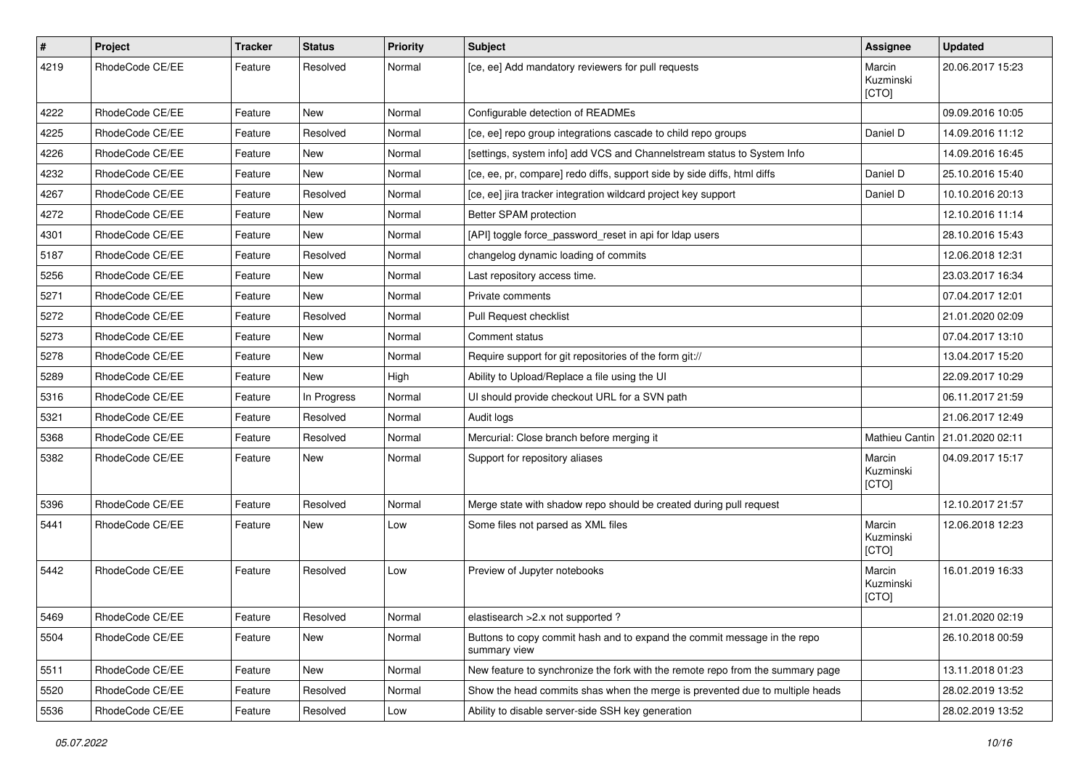| $\pmb{\#}$ | Project         | <b>Tracker</b> | <b>Status</b> | <b>Priority</b> | <b>Subject</b>                                                                           | <b>Assignee</b>              | <b>Updated</b>                    |
|------------|-----------------|----------------|---------------|-----------------|------------------------------------------------------------------------------------------|------------------------------|-----------------------------------|
| 4219       | RhodeCode CE/EE | Feature        | Resolved      | Normal          | [ce, ee] Add mandatory reviewers for pull requests                                       | Marcin<br>Kuzminski<br>[CTO] | 20.06.2017 15:23                  |
| 4222       | RhodeCode CE/EE | Feature        | New           | Normal          | Configurable detection of READMEs                                                        |                              | 09.09.2016 10:05                  |
| 4225       | RhodeCode CE/EE | Feature        | Resolved      | Normal          | [ce, ee] repo group integrations cascade to child repo groups                            | Daniel D                     | 14.09.2016 11:12                  |
| 4226       | RhodeCode CE/EE | Feature        | New           | Normal          | [settings, system info] add VCS and Channelstream status to System Info                  |                              | 14.09.2016 16:45                  |
| 4232       | RhodeCode CE/EE | Feature        | <b>New</b>    | Normal          | [ce, ee, pr, compare] redo diffs, support side by side diffs, html diffs                 | Daniel D                     | 25.10.2016 15:40                  |
| 4267       | RhodeCode CE/EE | Feature        | Resolved      | Normal          | [ce, ee] jira tracker integration wildcard project key support                           | Daniel D                     | 10.10.2016 20:13                  |
| 4272       | RhodeCode CE/EE | Feature        | New           | Normal          | Better SPAM protection                                                                   |                              | 12.10.2016 11:14                  |
| 4301       | RhodeCode CE/EE | Feature        | New           | Normal          | [API] toggle force_password_reset in api for Idap users                                  |                              | 28.10.2016 15:43                  |
| 5187       | RhodeCode CE/EE | Feature        | Resolved      | Normal          | changelog dynamic loading of commits                                                     |                              | 12.06.2018 12:31                  |
| 5256       | RhodeCode CE/EE | Feature        | New           | Normal          | Last repository access time.                                                             |                              | 23.03.2017 16:34                  |
| 5271       | RhodeCode CE/EE | Feature        | <b>New</b>    | Normal          | Private comments                                                                         |                              | 07.04.2017 12:01                  |
| 5272       | RhodeCode CE/EE | Feature        | Resolved      | Normal          | Pull Request checklist                                                                   |                              | 21.01.2020 02:09                  |
| 5273       | RhodeCode CE/EE | Feature        | <b>New</b>    | Normal          | Comment status                                                                           |                              | 07.04.2017 13:10                  |
| 5278       | RhodeCode CE/EE | Feature        | New           | Normal          | Require support for git repositories of the form git://                                  |                              | 13.04.2017 15:20                  |
| 5289       | RhodeCode CE/EE | Feature        | New           | High            | Ability to Upload/Replace a file using the UI                                            |                              | 22.09.2017 10:29                  |
| 5316       | RhodeCode CE/EE | Feature        | In Progress   | Normal          | UI should provide checkout URL for a SVN path                                            |                              | 06.11.2017 21:59                  |
| 5321       | RhodeCode CE/EE | Feature        | Resolved      | Normal          | Audit logs                                                                               |                              | 21.06.2017 12:49                  |
| 5368       | RhodeCode CE/EE | Feature        | Resolved      | Normal          | Mercurial: Close branch before merging it                                                |                              | Mathieu Cantin   21.01.2020 02:11 |
| 5382       | RhodeCode CE/EE | Feature        | New           | Normal          | Support for repository aliases                                                           | Marcin<br>Kuzminski<br>[CTO] | 04.09.2017 15:17                  |
| 5396       | RhodeCode CE/EE | Feature        | Resolved      | Normal          | Merge state with shadow repo should be created during pull request                       |                              | 12.10.2017 21:57                  |
| 5441       | RhodeCode CE/EE | Feature        | New           | Low             | Some files not parsed as XML files                                                       | Marcin<br>Kuzminski<br>[CTO] | 12.06.2018 12:23                  |
| 5442       | RhodeCode CE/EE | Feature        | Resolved      | Low             | Preview of Jupyter notebooks                                                             | Marcin<br>Kuzminski<br>[CTO] | 16.01.2019 16:33                  |
| 5469       | RhodeCode CE/EE | Feature        | Resolved      | Normal          | elastisearch > 2.x not supported?                                                        |                              | 21.01.2020 02:19                  |
| 5504       | RhodeCode CE/EE | Feature        | New           | Normal          | Buttons to copy commit hash and to expand the commit message in the repo<br>summary view |                              | 26.10.2018 00:59                  |
| 5511       | RhodeCode CE/EE | Feature        | New           | Normal          | New feature to synchronize the fork with the remote repo from the summary page           |                              | 13.11.2018 01:23                  |
| 5520       | RhodeCode CE/EE | Feature        | Resolved      | Normal          | Show the head commits shas when the merge is prevented due to multiple heads             |                              | 28.02.2019 13:52                  |
| 5536       | RhodeCode CE/EE | Feature        | Resolved      | Low             | Ability to disable server-side SSH key generation                                        |                              | 28.02.2019 13:52                  |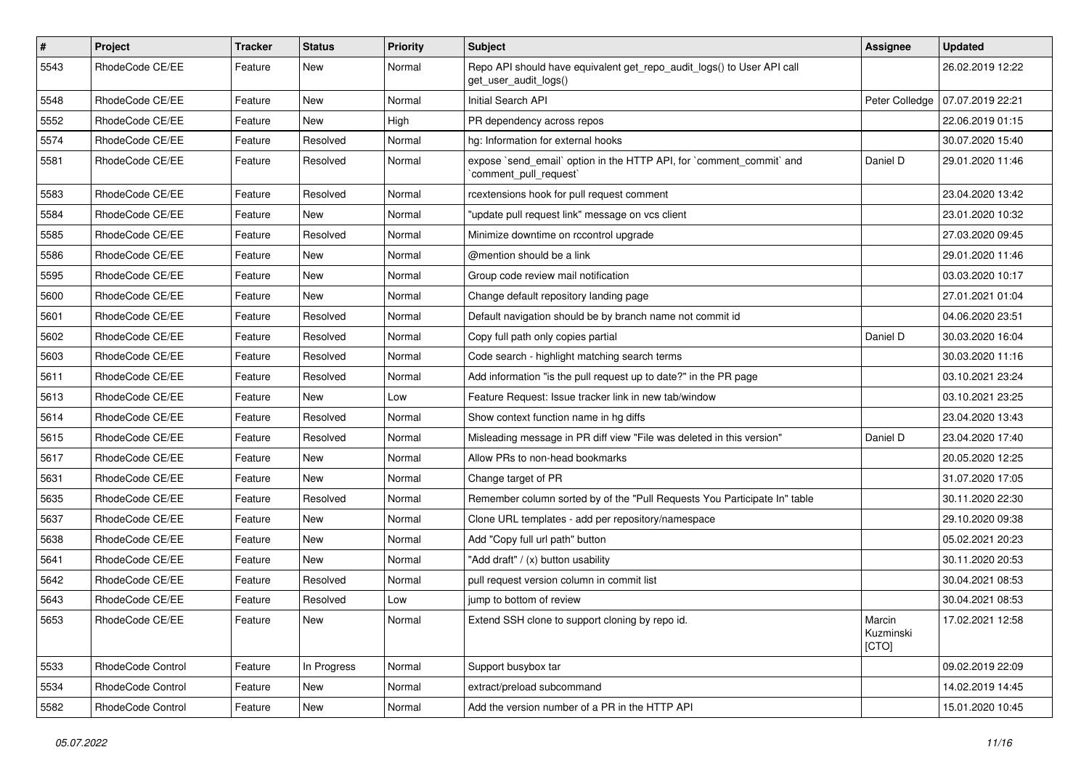| $\vert$ # | Project           | Tracker | <b>Status</b> | <b>Priority</b> | Subject                                                                                         | Assignee                     | Updated          |
|-----------|-------------------|---------|---------------|-----------------|-------------------------------------------------------------------------------------------------|------------------------------|------------------|
| 5543      | RhodeCode CE/EE   | Feature | New           | Normal          | Repo API should have equivalent get_repo_audit_logs() to User API call<br>get_user_audit_logs() |                              | 26.02.2019 12:22 |
| 5548      | RhodeCode CE/EE   | Feature | New           | Normal          | Initial Search API                                                                              | Peter Colledge               | 07.07.2019 22:21 |
| 5552      | RhodeCode CE/EE   | Feature | New           | High            | PR dependency across repos                                                                      |                              | 22.06.2019 01:15 |
| 5574      | RhodeCode CE/EE   | Feature | Resolved      | Normal          | hg: Information for external hooks                                                              |                              | 30.07.2020 15:40 |
| 5581      | RhodeCode CE/EE   | Feature | Resolved      | Normal          | expose `send_email` option in the HTTP API, for `comment_commit` and<br>`comment_pull_request`  | Daniel D                     | 29.01.2020 11:46 |
| 5583      | RhodeCode CE/EE   | Feature | Resolved      | Normal          | rcextensions hook for pull request comment                                                      |                              | 23.04.2020 13:42 |
| 5584      | RhodeCode CE/EE   | Feature | New           | Normal          | "update pull request link" message on vcs client                                                |                              | 23.01.2020 10:32 |
| 5585      | RhodeCode CE/EE   | Feature | Resolved      | Normal          | Minimize downtime on rccontrol upgrade                                                          |                              | 27.03.2020 09:45 |
| 5586      | RhodeCode CE/EE   | Feature | New           | Normal          | @mention should be a link                                                                       |                              | 29.01.2020 11:46 |
| 5595      | RhodeCode CE/EE   | Feature | New           | Normal          | Group code review mail notification                                                             |                              | 03.03.2020 10:17 |
| 5600      | RhodeCode CE/EE   | Feature | <b>New</b>    | Normal          | Change default repository landing page                                                          |                              | 27.01.2021 01:04 |
| 5601      | RhodeCode CE/EE   | Feature | Resolved      | Normal          | Default navigation should be by branch name not commit id                                       |                              | 04.06.2020 23:51 |
| 5602      | RhodeCode CE/EE   | Feature | Resolved      | Normal          | Copy full path only copies partial                                                              | Daniel D                     | 30.03.2020 16:04 |
| 5603      | RhodeCode CE/EE   | Feature | Resolved      | Normal          | Code search - highlight matching search terms                                                   |                              | 30.03.2020 11:16 |
| 5611      | RhodeCode CE/EE   | Feature | Resolved      | Normal          | Add information "is the pull request up to date?" in the PR page                                |                              | 03.10.2021 23:24 |
| 5613      | RhodeCode CE/EE   | Feature | <b>New</b>    | Low             | Feature Request: Issue tracker link in new tab/window                                           |                              | 03.10.2021 23:25 |
| 5614      | RhodeCode CE/EE   | Feature | Resolved      | Normal          | Show context function name in hg diffs                                                          |                              | 23.04.2020 13:43 |
| 5615      | RhodeCode CE/EE   | Feature | Resolved      | Normal          | Misleading message in PR diff view "File was deleted in this version"                           | Daniel D                     | 23.04.2020 17:40 |
| 5617      | RhodeCode CE/EE   | Feature | New           | Normal          | Allow PRs to non-head bookmarks                                                                 |                              | 20.05.2020 12:25 |
| 5631      | RhodeCode CE/EE   | Feature | New           | Normal          | Change target of PR                                                                             |                              | 31.07.2020 17:05 |
| 5635      | RhodeCode CE/EE   | Feature | Resolved      | Normal          | Remember column sorted by of the "Pull Requests You Participate In" table                       |                              | 30.11.2020 22:30 |
| 5637      | RhodeCode CE/EE   | Feature | New           | Normal          | Clone URL templates - add per repository/namespace                                              |                              | 29.10.2020 09:38 |
| 5638      | RhodeCode CE/EE   | Feature | New           | Normal          | Add "Copy full url path" button                                                                 |                              | 05.02.2021 20:23 |
| 5641      | RhodeCode CE/EE   | Feature | <b>New</b>    | Normal          | "Add draft" / (x) button usability                                                              |                              | 30.11.2020 20:53 |
| 5642      | RhodeCode CE/EE   | Feature | Resolved      | Normal          | pull request version column in commit list                                                      |                              | 30.04.2021 08:53 |
| 5643      | RhodeCode CE/EE   | Feature | Resolved      | Low             | jump to bottom of review                                                                        |                              | 30.04.2021 08:53 |
| 5653      | RhodeCode CE/EE   | Feature | New           | Normal          | Extend SSH clone to support cloning by repo id.                                                 | Marcin<br>Kuzminski<br>[CTO] | 17.02.2021 12:58 |
| 5533      | RhodeCode Control | Feature | In Progress   | Normal          | Support busybox tar                                                                             |                              | 09.02.2019 22:09 |
| 5534      | RhodeCode Control | Feature | New           | Normal          | extract/preload subcommand                                                                      |                              | 14.02.2019 14:45 |
| 5582      | RhodeCode Control | Feature | New           | Normal          | Add the version number of a PR in the HTTP API                                                  |                              | 15.01.2020 10:45 |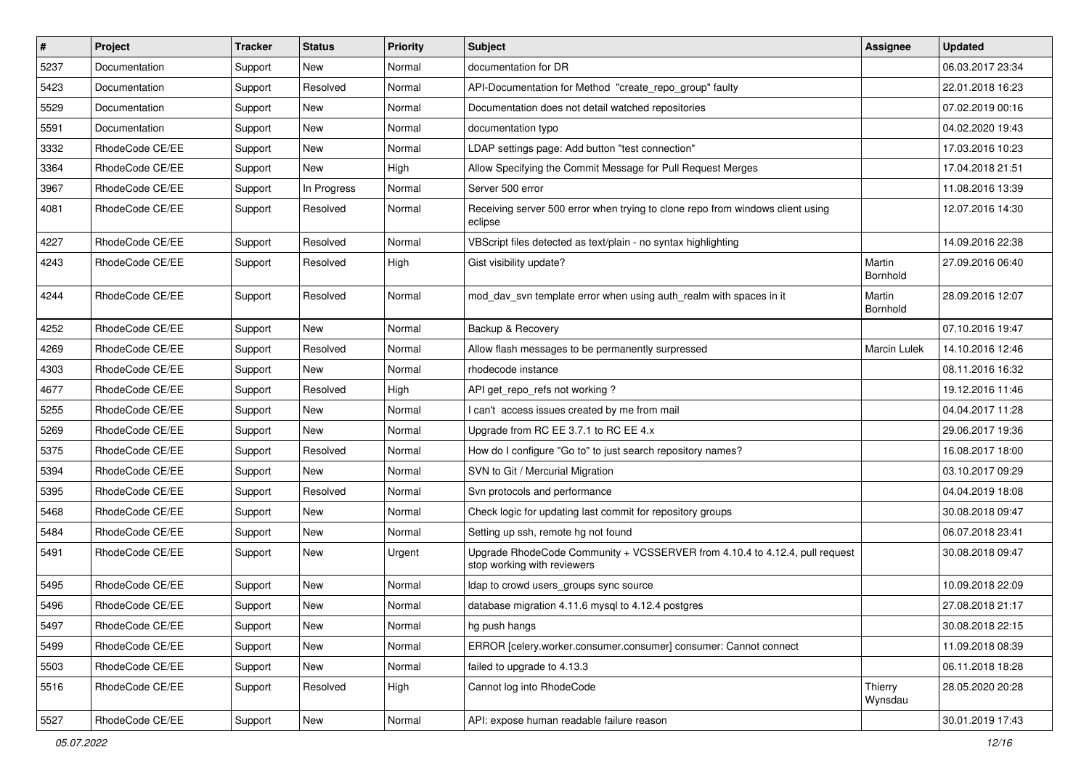| $\vert$ # | Project         | <b>Tracker</b> | <b>Status</b> | <b>Priority</b> | <b>Subject</b>                                                                                             | <b>Assignee</b>     | <b>Updated</b>   |
|-----------|-----------------|----------------|---------------|-----------------|------------------------------------------------------------------------------------------------------------|---------------------|------------------|
| 5237      | Documentation   | Support        | New           | Normal          | documentation for DR                                                                                       |                     | 06.03.2017 23:34 |
| 5423      | Documentation   | Support        | Resolved      | Normal          | API-Documentation for Method "create_repo_group" faulty                                                    |                     | 22.01.2018 16:23 |
| 5529      | Documentation   | Support        | New           | Normal          | Documentation does not detail watched repositories                                                         |                     | 07.02.2019 00:16 |
| 5591      | Documentation   | Support        | New           | Normal          | documentation typo                                                                                         |                     | 04.02.2020 19:43 |
| 3332      | RhodeCode CE/EE | Support        | New           | Normal          | LDAP settings page: Add button "test connection"                                                           |                     | 17.03.2016 10:23 |
| 3364      | RhodeCode CE/EE | Support        | New           | High            | Allow Specifying the Commit Message for Pull Request Merges                                                |                     | 17.04.2018 21:51 |
| 3967      | RhodeCode CE/EE | Support        | In Progress   | Normal          | Server 500 error                                                                                           |                     | 11.08.2016 13:39 |
| 4081      | RhodeCode CE/EE | Support        | Resolved      | Normal          | Receiving server 500 error when trying to clone repo from windows client using<br>eclipse                  |                     | 12.07.2016 14:30 |
| 4227      | RhodeCode CE/EE | Support        | Resolved      | Normal          | VBScript files detected as text/plain - no syntax highlighting                                             |                     | 14.09.2016 22:38 |
| 4243      | RhodeCode CE/EE | Support        | Resolved      | High            | Gist visibility update?                                                                                    | Martin<br>Bornhold  | 27.09.2016 06:40 |
| 4244      | RhodeCode CE/EE | Support        | Resolved      | Normal          | mod_dav_svn template error when using auth_realm with spaces in it                                         | Martin<br>Bornhold  | 28.09.2016 12:07 |
| 4252      | RhodeCode CE/EE | Support        | New           | Normal          | Backup & Recovery                                                                                          |                     | 07.10.2016 19:47 |
| 4269      | RhodeCode CE/EE | Support        | Resolved      | Normal          | Allow flash messages to be permanently surpressed                                                          | <b>Marcin Lulek</b> | 14.10.2016 12:46 |
| 4303      | RhodeCode CE/EE | Support        | New           | Normal          | rhodecode instance                                                                                         |                     | 08.11.2016 16:32 |
| 4677      | RhodeCode CE/EE | Support        | Resolved      | High            | API get_repo_refs not working?                                                                             |                     | 19.12.2016 11:46 |
| 5255      | RhodeCode CE/EE | Support        | New           | Normal          | I can't access issues created by me from mail                                                              |                     | 04.04.2017 11:28 |
| 5269      | RhodeCode CE/EE | Support        | <b>New</b>    | Normal          | Upgrade from RC EE 3.7.1 to RC EE 4.x                                                                      |                     | 29.06.2017 19:36 |
| 5375      | RhodeCode CE/EE | Support        | Resolved      | Normal          | How do I configure "Go to" to just search repository names?                                                |                     | 16.08.2017 18:00 |
| 5394      | RhodeCode CE/EE | Support        | New           | Normal          | SVN to Git / Mercurial Migration                                                                           |                     | 03.10.2017 09:29 |
| 5395      | RhodeCode CE/EE | Support        | Resolved      | Normal          | Svn protocols and performance                                                                              |                     | 04.04.2019 18:08 |
| 5468      | RhodeCode CE/EE | Support        | New           | Normal          | Check logic for updating last commit for repository groups                                                 |                     | 30.08.2018 09:47 |
| 5484      | RhodeCode CE/EE | Support        | New           | Normal          | Setting up ssh, remote hg not found                                                                        |                     | 06.07.2018 23:41 |
| 5491      | RhodeCode CE/EE | Support        | New           | Urgent          | Upgrade RhodeCode Community + VCSSERVER from 4.10.4 to 4.12.4, pull request<br>stop working with reviewers |                     | 30.08.2018 09:47 |
| 5495      | RhodeCode CE/EE | Support        | New           | Normal          | Idap to crowd users groups sync source                                                                     |                     | 10.09.2018 22:09 |
| 5496      | RhodeCode CE/EE | Support        | New           | Normal          | database migration 4.11.6 mysql to 4.12.4 postgres                                                         |                     | 27.08.2018 21:17 |
| 5497      | RhodeCode CE/EE | Support        | New           | Normal          | hg push hangs                                                                                              |                     | 30.08.2018 22:15 |
| 5499      | RhodeCode CE/EE | Support        | New           | Normal          | ERROR [celery.worker.consumer.consumer] consumer: Cannot connect                                           |                     | 11.09.2018 08:39 |
| 5503      | RhodeCode CE/EE | Support        | New           | Normal          | failed to upgrade to 4.13.3                                                                                |                     | 06.11.2018 18:28 |
| 5516      | RhodeCode CE/EE | Support        | Resolved      | High            | Cannot log into RhodeCode                                                                                  | Thierry<br>Wynsdau  | 28.05.2020 20:28 |
| 5527      | RhodeCode CE/EE | Support        | New           | Normal          | API: expose human readable failure reason                                                                  |                     | 30.01.2019 17:43 |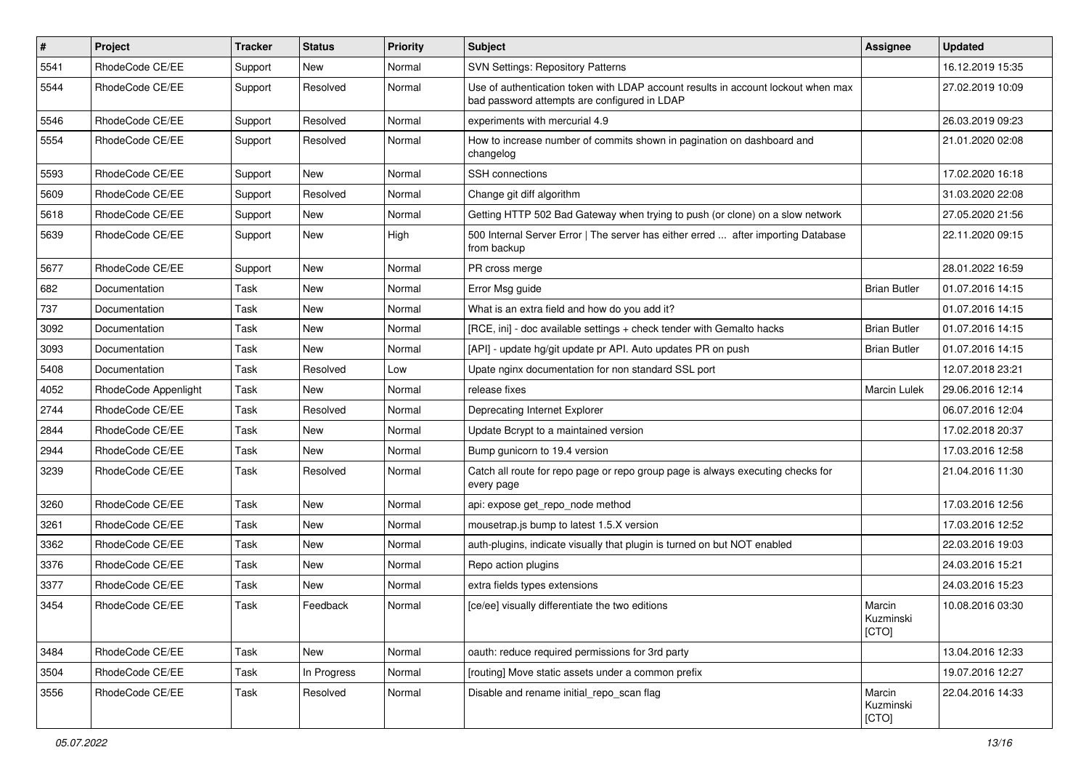| $\sharp$ | Project              | <b>Tracker</b> | <b>Status</b> | Priority | <b>Subject</b>                                                                                                                    | <b>Assignee</b>              | <b>Updated</b>   |
|----------|----------------------|----------------|---------------|----------|-----------------------------------------------------------------------------------------------------------------------------------|------------------------------|------------------|
| 5541     | RhodeCode CE/EE      | Support        | New           | Normal   | <b>SVN Settings: Repository Patterns</b>                                                                                          |                              | 16.12.2019 15:35 |
| 5544     | RhodeCode CE/EE      | Support        | Resolved      | Normal   | Use of authentication token with LDAP account results in account lockout when max<br>bad password attempts are configured in LDAP |                              | 27.02.2019 10:09 |
| 5546     | RhodeCode CE/EE      | Support        | Resolved      | Normal   | experiments with mercurial 4.9                                                                                                    |                              | 26.03.2019 09:23 |
| 5554     | RhodeCode CE/EE      | Support        | Resolved      | Normal   | How to increase number of commits shown in pagination on dashboard and<br>changelog                                               |                              | 21.01.2020 02:08 |
| 5593     | RhodeCode CE/EE      | Support        | New           | Normal   | <b>SSH</b> connections                                                                                                            |                              | 17.02.2020 16:18 |
| 5609     | RhodeCode CE/EE      | Support        | Resolved      | Normal   | Change git diff algorithm                                                                                                         |                              | 31.03.2020 22:08 |
| 5618     | RhodeCode CE/EE      | Support        | New           | Normal   | Getting HTTP 502 Bad Gateway when trying to push (or clone) on a slow network                                                     |                              | 27.05.2020 21:56 |
| 5639     | RhodeCode CE/EE      | Support        | New           | High     | 500 Internal Server Error   The server has either erred  after importing Database<br>from backup                                  |                              | 22.11.2020 09:15 |
| 5677     | RhodeCode CE/EE      | Support        | New           | Normal   | PR cross merge                                                                                                                    |                              | 28.01.2022 16:59 |
| 682      | Documentation        | Task           | <b>New</b>    | Normal   | Error Msg guide                                                                                                                   | <b>Brian Butler</b>          | 01.07.2016 14:15 |
| 737      | Documentation        | Task           | New           | Normal   | What is an extra field and how do you add it?                                                                                     |                              | 01.07.2016 14:15 |
| 3092     | Documentation        | Task           | New           | Normal   | [RCE, ini] - doc available settings + check tender with Gemalto hacks                                                             | <b>Brian Butler</b>          | 01.07.2016 14:15 |
| 3093     | Documentation        | Task           | New           | Normal   | [API] - update hg/git update pr API. Auto updates PR on push                                                                      | <b>Brian Butler</b>          | 01.07.2016 14:15 |
| 5408     | Documentation        | Task           | Resolved      | Low      | Upate nginx documentation for non standard SSL port                                                                               |                              | 12.07.2018 23:21 |
| 4052     | RhodeCode Appenlight | Task           | New           | Normal   | release fixes                                                                                                                     | <b>Marcin Lulek</b>          | 29.06.2016 12:14 |
| 2744     | RhodeCode CE/EE      | Task           | Resolved      | Normal   | Deprecating Internet Explorer                                                                                                     |                              | 06.07.2016 12:04 |
| 2844     | RhodeCode CE/EE      | Task           | New           | Normal   | Update Bcrypt to a maintained version                                                                                             |                              | 17.02.2018 20:37 |
| 2944     | RhodeCode CE/EE      | Task           | New           | Normal   | Bump gunicorn to 19.4 version                                                                                                     |                              | 17.03.2016 12:58 |
| 3239     | RhodeCode CE/EE      | Task           | Resolved      | Normal   | Catch all route for repo page or repo group page is always executing checks for<br>every page                                     |                              | 21.04.2016 11:30 |
| 3260     | RhodeCode CE/EE      | Task           | New           | Normal   | api: expose get repo node method                                                                                                  |                              | 17.03.2016 12:56 |
| 3261     | RhodeCode CE/EE      | Task           | New           | Normal   | mousetrap.js bump to latest 1.5.X version                                                                                         |                              | 17.03.2016 12:52 |
| 3362     | RhodeCode CE/EE      | Task           | New           | Normal   | auth-plugins, indicate visually that plugin is turned on but NOT enabled                                                          |                              | 22.03.2016 19:03 |
| 3376     | RhodeCode CE/EE      | Task           | New           | Normal   | Repo action plugins                                                                                                               |                              | 24.03.2016 15:21 |
| 3377     | RhodeCode CE/EE      | Task           | New           | Normal   | extra fields types extensions                                                                                                     |                              | 24.03.2016 15:23 |
| 3454     | RhodeCode CE/EE      | Task           | Feedback      | Normal   | [ce/ee] visually differentiate the two editions                                                                                   | Marcin<br>Kuzminski<br>[CTO] | 10.08.2016 03:30 |
| 3484     | RhodeCode CE/EE      | Task           | New           | Normal   | oauth: reduce required permissions for 3rd party                                                                                  |                              | 13.04.2016 12:33 |
| 3504     | RhodeCode CE/EE      | Task           | In Progress   | Normal   | [routing] Move static assets under a common prefix                                                                                |                              | 19.07.2016 12:27 |
| 3556     | RhodeCode CE/EE      | Task           | Resolved      | Normal   | Disable and rename initial_repo_scan flag                                                                                         | Marcin<br>Kuzminski<br>[CTO] | 22.04.2016 14:33 |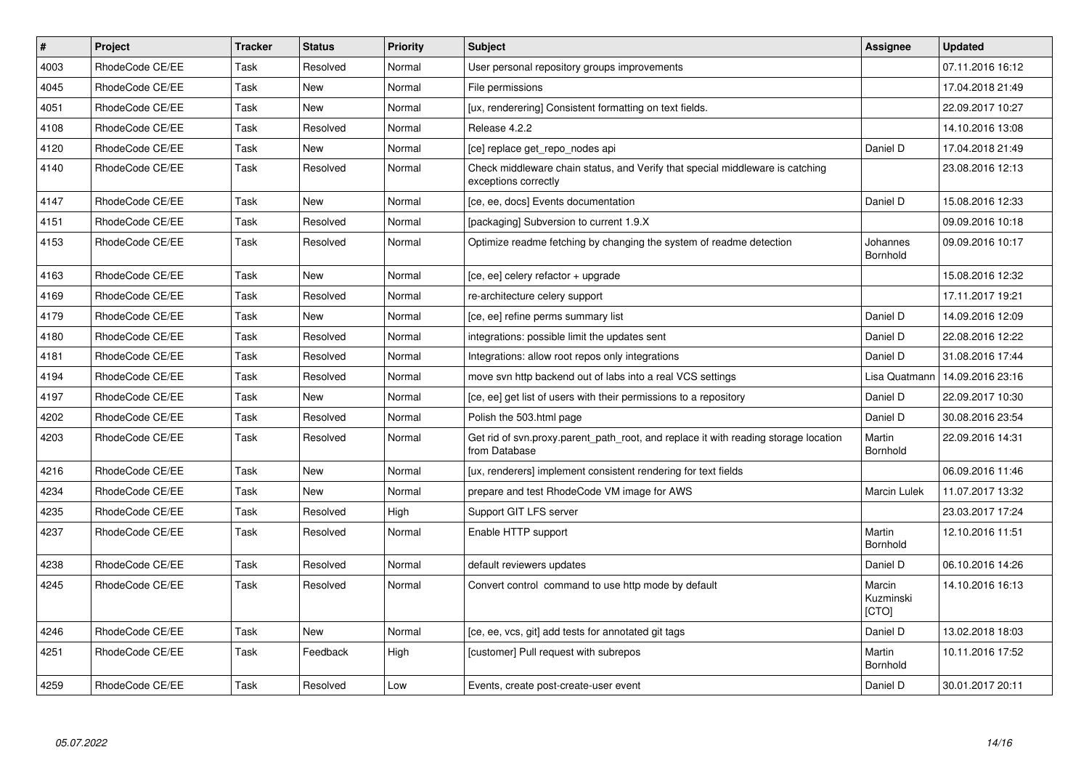| $\vert$ # | Project         | <b>Tracker</b> | <b>Status</b> | Priority | <b>Subject</b>                                                                                        | <b>Assignee</b>              | <b>Updated</b>   |
|-----------|-----------------|----------------|---------------|----------|-------------------------------------------------------------------------------------------------------|------------------------------|------------------|
| 4003      | RhodeCode CE/EE | Task           | Resolved      | Normal   | User personal repository groups improvements                                                          |                              | 07.11.2016 16:12 |
| 4045      | RhodeCode CE/EE | Task           | <b>New</b>    | Normal   | File permissions                                                                                      |                              | 17.04.2018 21:49 |
| 4051      | RhodeCode CE/EE | Task           | <b>New</b>    | Normal   | [ux, renderering] Consistent formatting on text fields.                                               |                              | 22.09.2017 10:27 |
| 4108      | RhodeCode CE/EE | Task           | Resolved      | Normal   | Release 4.2.2                                                                                         |                              | 14.10.2016 13:08 |
| 4120      | RhodeCode CE/EE | Task           | <b>New</b>    | Normal   | [ce] replace get_repo_nodes api                                                                       | Daniel D                     | 17.04.2018 21:49 |
| 4140      | RhodeCode CE/EE | Task           | Resolved      | Normal   | Check middleware chain status, and Verify that special middleware is catching<br>exceptions correctly |                              | 23.08.2016 12:13 |
| 4147      | RhodeCode CE/EE | Task           | <b>New</b>    | Normal   | [ce, ee, docs] Events documentation                                                                   | Daniel D                     | 15.08.2016 12:33 |
| 4151      | RhodeCode CE/EE | Task           | Resolved      | Normal   | [packaging] Subversion to current 1.9.X                                                               |                              | 09.09.2016 10:18 |
| 4153      | RhodeCode CE/EE | Task           | Resolved      | Normal   | Optimize readme fetching by changing the system of readme detection                                   | Johannes<br>Bornhold         | 09.09.2016 10:17 |
| 4163      | RhodeCode CE/EE | Task           | <b>New</b>    | Normal   | [ce, ee] celery refactor + upgrade                                                                    |                              | 15.08.2016 12:32 |
| 4169      | RhodeCode CE/EE | Task           | Resolved      | Normal   | re-architecture celery support                                                                        |                              | 17.11.2017 19:21 |
| 4179      | RhodeCode CE/EE | Task           | <b>New</b>    | Normal   | [ce, ee] refine perms summary list                                                                    | Daniel D                     | 14.09.2016 12:09 |
| 4180      | RhodeCode CE/EE | Task           | Resolved      | Normal   | integrations: possible limit the updates sent                                                         | Daniel D                     | 22.08.2016 12:22 |
| 4181      | RhodeCode CE/EE | Task           | Resolved      | Normal   | Integrations: allow root repos only integrations                                                      | Daniel D                     | 31.08.2016 17:44 |
| 4194      | RhodeCode CE/EE | Task           | Resolved      | Normal   | move syn http backend out of labs into a real VCS settings                                            | Lisa Quatmann                | 14.09.2016 23:16 |
| 4197      | RhodeCode CE/EE | Task           | <b>New</b>    | Normal   | [ce, ee] get list of users with their permissions to a repository                                     | Daniel D                     | 22.09.2017 10:30 |
| 4202      | RhodeCode CE/EE | Task           | Resolved      | Normal   | Polish the 503.html page                                                                              | Daniel D                     | 30.08.2016 23:54 |
| 4203      | RhodeCode CE/EE | Task           | Resolved      | Normal   | Get rid of syn.proxy.parent path root, and replace it with reading storage location<br>from Database  | Martin<br>Bornhold           | 22.09.2016 14:31 |
| 4216      | RhodeCode CE/EE | Task           | <b>New</b>    | Normal   | [ux, renderers] implement consistent rendering for text fields                                        |                              | 06.09.2016 11:46 |
| 4234      | RhodeCode CE/EE | Task           | <b>New</b>    | Normal   | prepare and test RhodeCode VM image for AWS                                                           | <b>Marcin Lulek</b>          | 11.07.2017 13:32 |
| 4235      | RhodeCode CE/EE | Task           | Resolved      | High     | Support GIT LFS server                                                                                |                              | 23.03.2017 17:24 |
| 4237      | RhodeCode CE/EE | Task           | Resolved      | Normal   | Enable HTTP support                                                                                   | Martin<br>Bornhold           | 12.10.2016 11:51 |
| 4238      | RhodeCode CE/EE | Task           | Resolved      | Normal   | default reviewers updates                                                                             | Daniel D                     | 06.10.2016 14:26 |
| 4245      | RhodeCode CE/EE | Task           | Resolved      | Normal   | Convert control command to use http mode by default                                                   | Marcin<br>Kuzminski<br>[CTO] | 14.10.2016 16:13 |
| 4246      | RhodeCode CE/EE | Task           | <b>New</b>    | Normal   | [ce, ee, vcs, git] add tests for annotated git tags                                                   | Daniel D                     | 13.02.2018 18:03 |
| 4251      | RhodeCode CE/EE | Task           | Feedback      | High     | [customer] Pull request with subrepos                                                                 | Martin<br>Bornhold           | 10.11.2016 17:52 |
| 4259      | RhodeCode CE/EE | Task           | Resolved      | Low      | Events, create post-create-user event                                                                 | Daniel D                     | 30.01.2017 20:11 |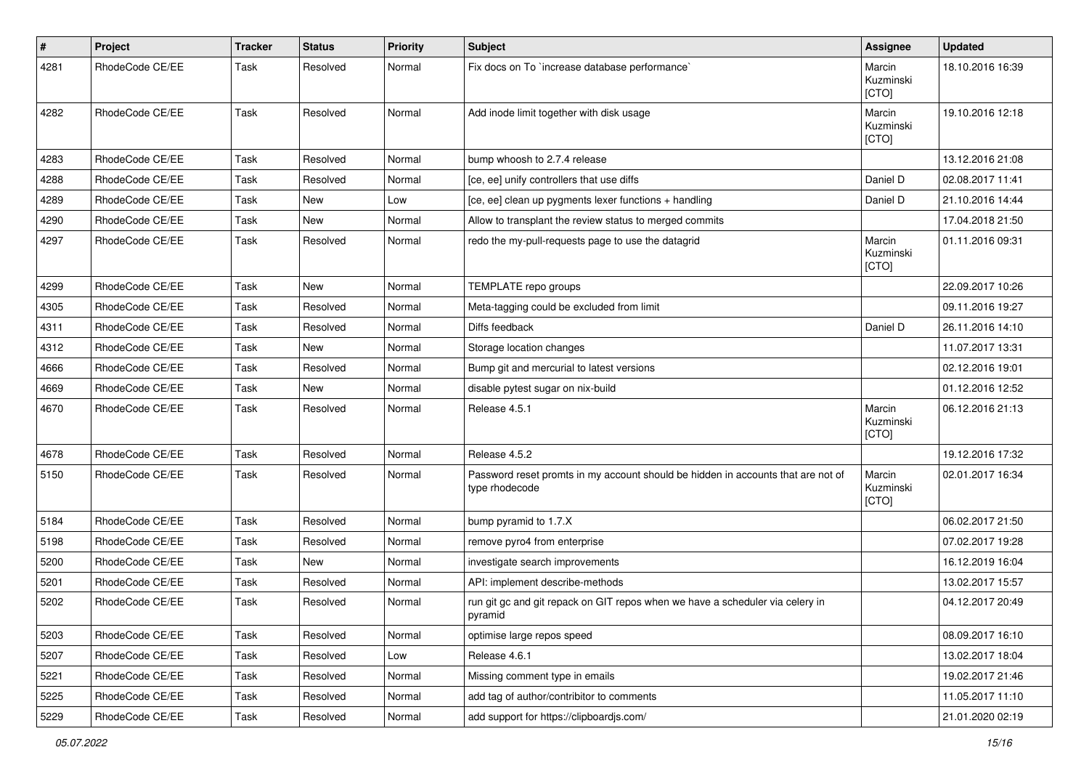| $\sharp$ | Project         | <b>Tracker</b> | <b>Status</b> | <b>Priority</b> | <b>Subject</b>                                                                                     | Assignee                     | <b>Updated</b>   |
|----------|-----------------|----------------|---------------|-----------------|----------------------------------------------------------------------------------------------------|------------------------------|------------------|
| 4281     | RhodeCode CE/EE | Task           | Resolved      | Normal          | Fix docs on To `increase database performance`                                                     | Marcin<br>Kuzminski<br>[CTO] | 18.10.2016 16:39 |
| 4282     | RhodeCode CE/EE | Task           | Resolved      | Normal          | Add inode limit together with disk usage                                                           | Marcin<br>Kuzminski<br>[CTO] | 19.10.2016 12:18 |
| 4283     | RhodeCode CE/EE | Task           | Resolved      | Normal          | bump whoosh to 2.7.4 release                                                                       |                              | 13.12.2016 21:08 |
| 4288     | RhodeCode CE/EE | Task           | Resolved      | Normal          | [ce, ee] unify controllers that use diffs                                                          | Daniel D                     | 02.08.2017 11:41 |
| 4289     | RhodeCode CE/EE | Task           | <b>New</b>    | Low             | [ce, ee] clean up pygments lexer functions + handling                                              | Daniel D                     | 21.10.2016 14:44 |
| 4290     | RhodeCode CE/EE | Task           | <b>New</b>    | Normal          | Allow to transplant the review status to merged commits                                            |                              | 17.04.2018 21:50 |
| 4297     | RhodeCode CE/EE | Task           | Resolved      | Normal          | redo the my-pull-requests page to use the datagrid                                                 | Marcin<br>Kuzminski<br>[CTO] | 01.11.2016 09:31 |
| 4299     | RhodeCode CE/EE | Task           | <b>New</b>    | Normal          | TEMPLATE repo groups                                                                               |                              | 22.09.2017 10:26 |
| 4305     | RhodeCode CE/EE | Task           | Resolved      | Normal          | Meta-tagging could be excluded from limit                                                          |                              | 09.11.2016 19:27 |
| 4311     | RhodeCode CE/EE | Task           | Resolved      | Normal          | Diffs feedback                                                                                     | Daniel D                     | 26.11.2016 14:10 |
| 4312     | RhodeCode CE/EE | Task           | <b>New</b>    | Normal          | Storage location changes                                                                           |                              | 11.07.2017 13:31 |
| 4666     | RhodeCode CE/EE | Task           | Resolved      | Normal          | Bump git and mercurial to latest versions                                                          |                              | 02.12.2016 19:01 |
| 4669     | RhodeCode CE/EE | Task           | New           | Normal          | disable pytest sugar on nix-build                                                                  |                              | 01.12.2016 12:52 |
| 4670     | RhodeCode CE/EE | Task           | Resolved      | Normal          | Release 4.5.1                                                                                      | Marcin<br>Kuzminski<br>[CTO] | 06.12.2016 21:13 |
| 4678     | RhodeCode CE/EE | Task           | Resolved      | Normal          | Release 4.5.2                                                                                      |                              | 19.12.2016 17:32 |
| 5150     | RhodeCode CE/EE | Task           | Resolved      | Normal          | Password reset promts in my account should be hidden in accounts that are not of<br>type rhodecode | Marcin<br>Kuzminski<br>[CTO] | 02.01.2017 16:34 |
| 5184     | RhodeCode CE/EE | Task           | Resolved      | Normal          | bump pyramid to 1.7.X                                                                              |                              | 06.02.2017 21:50 |
| 5198     | RhodeCode CE/EE | Task           | Resolved      | Normal          | remove pyro4 from enterprise                                                                       |                              | 07.02.2017 19:28 |
| 5200     | RhodeCode CE/EE | Task           | <b>New</b>    | Normal          | investigate search improvements                                                                    |                              | 16.12.2019 16:04 |
| 5201     | RhodeCode CE/EE | Task           | Resolved      | Normal          | API: implement describe-methods                                                                    |                              | 13.02.2017 15:57 |
| 5202     | RhodeCode CE/EE | Task           | Resolved      | Normal          | run git gc and git repack on GIT repos when we have a scheduler via celery in<br>pyramid           |                              | 04.12.2017 20:49 |
| 5203     | RhodeCode CE/EE | Task           | Resolved      | Normal          | optimise large repos speed                                                                         |                              | 08.09.2017 16:10 |
| 5207     | RhodeCode CE/EE | Task           | Resolved      | Low             | Release 4.6.1                                                                                      |                              | 13.02.2017 18:04 |
| 5221     | RhodeCode CE/EE | Task           | Resolved      | Normal          | Missing comment type in emails                                                                     |                              | 19.02.2017 21:46 |
| 5225     | RhodeCode CE/EE | Task           | Resolved      | Normal          | add tag of author/contribitor to comments                                                          |                              | 11.05.2017 11:10 |
| 5229     | RhodeCode CE/EE | Task           | Resolved      | Normal          | add support for https://clipboardjs.com/                                                           |                              | 21.01.2020 02:19 |